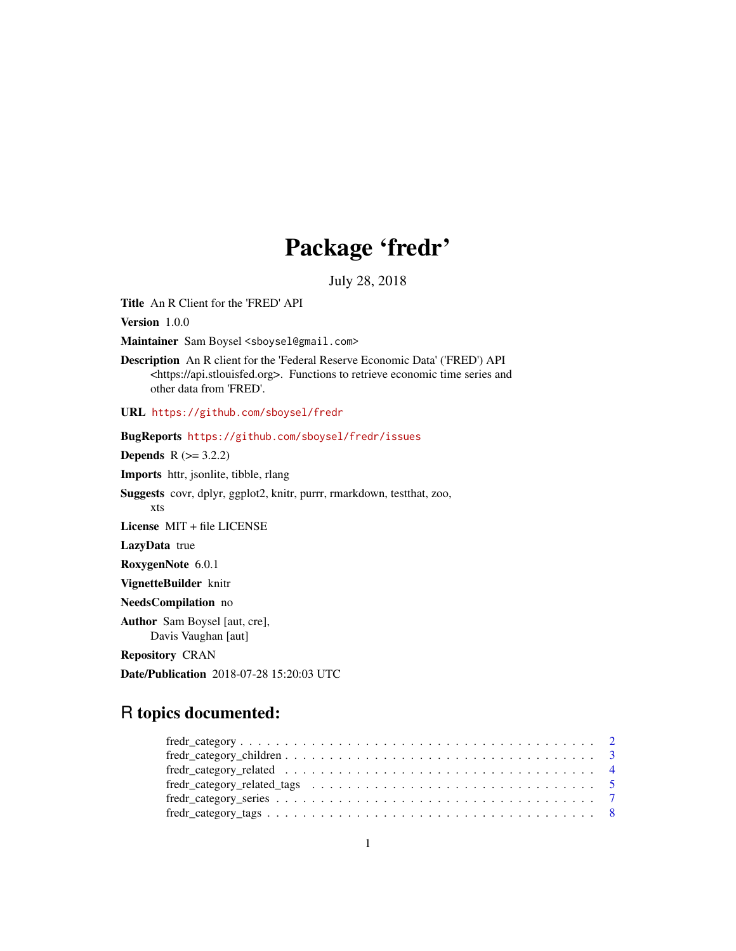## Package 'fredr'

July 28, 2018

<span id="page-0-0"></span>Title An R Client for the 'FRED' API

Version 1.0.0

Maintainer Sam Boysel <sboysel@gmail.com>

Description An R client for the 'Federal Reserve Economic Data' ('FRED') API <https://api.stlouisfed.org>. Functions to retrieve economic time series and other data from 'FRED'.

URL <https://github.com/sboysel/fredr>

BugReports <https://github.com/sboysel/fredr/issues> **Depends**  $R (= 3.2.2)$ Imports httr, jsonlite, tibble, rlang Suggests covr, dplyr, ggplot2, knitr, purrr, rmarkdown, testthat, zoo, xts License MIT + file LICENSE LazyData true RoxygenNote 6.0.1 VignetteBuilder knitr NeedsCompilation no Author Sam Boysel [aut, cre], Davis Vaughan [aut] Repository CRAN Date/Publication 2018-07-28 15:20:03 UTC

## R topics documented:

| $fredr\_category\_children \dots \dots \dots \dots \dots \dots \dots \dots \dots \dots \dots \dots \dots \dots$                       |  |
|---------------------------------------------------------------------------------------------------------------------------------------|--|
|                                                                                                                                       |  |
|                                                                                                                                       |  |
| $fredr\_category\_series \dots \dots \dots \dots \dots \dots \dots \dots \dots \dots \dots \dots \dots \dots \dots \dots \dots \dots$ |  |
| $fredr\_category\_tags \ldots \ldots \ldots \ldots \ldots \ldots \ldots \ldots \ldots \ldots \ldots \ldots \ldots 8$                  |  |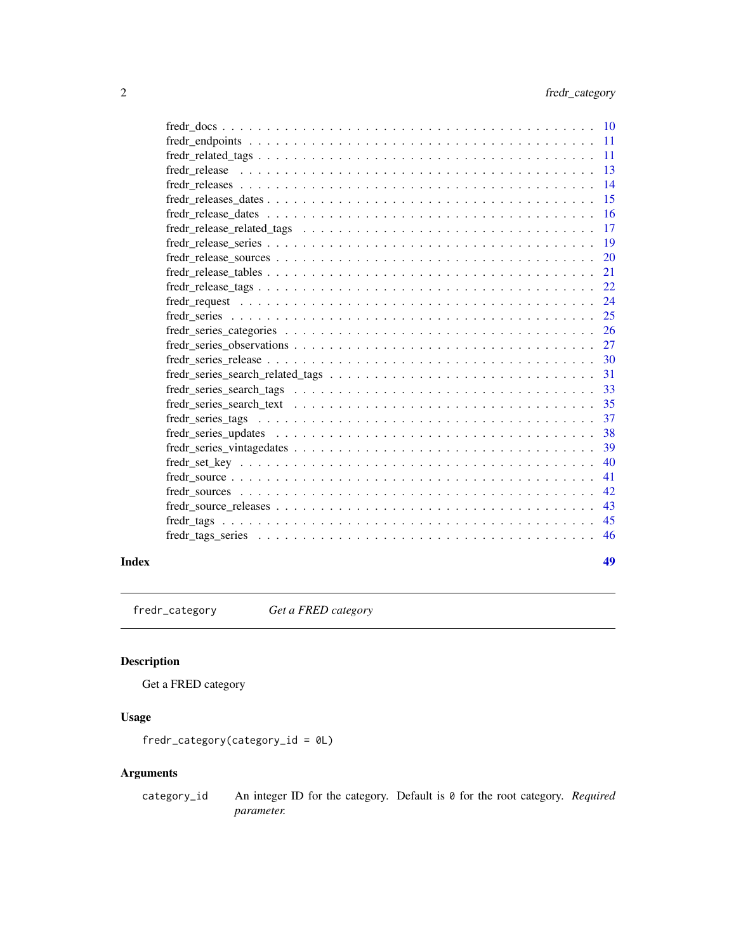<span id="page-1-0"></span>

| <b>10</b> |
|-----------|
| 11        |
| 11        |
| 13        |
| 14        |
| 15        |
| 16        |
| 17        |
| 19        |
|           |
| 20        |
| 21        |
| 22        |
| 24        |
| 25        |
| 26        |
| 27        |
| 30        |
| 31        |
| 33        |
| 35        |
| 37        |
| 38        |
| 39        |
| 40        |
| 41        |
| 42        |
| 43        |
| 45        |
|           |
| 46        |
|           |

#### **Index a** set of the contract of the contract of the contract of the contract of the contract of the contract of the contract of the contract of the contract of the contract of the contract of the contract of the contrac

<span id="page-1-1"></span>fredr\_category *Get a FRED category*

## Description

Get a FRED category

## Usage

fredr\_category(category\_id = 0L)

## Arguments

category\_id An integer ID for the category. Default is 0 for the root category. *Required parameter.*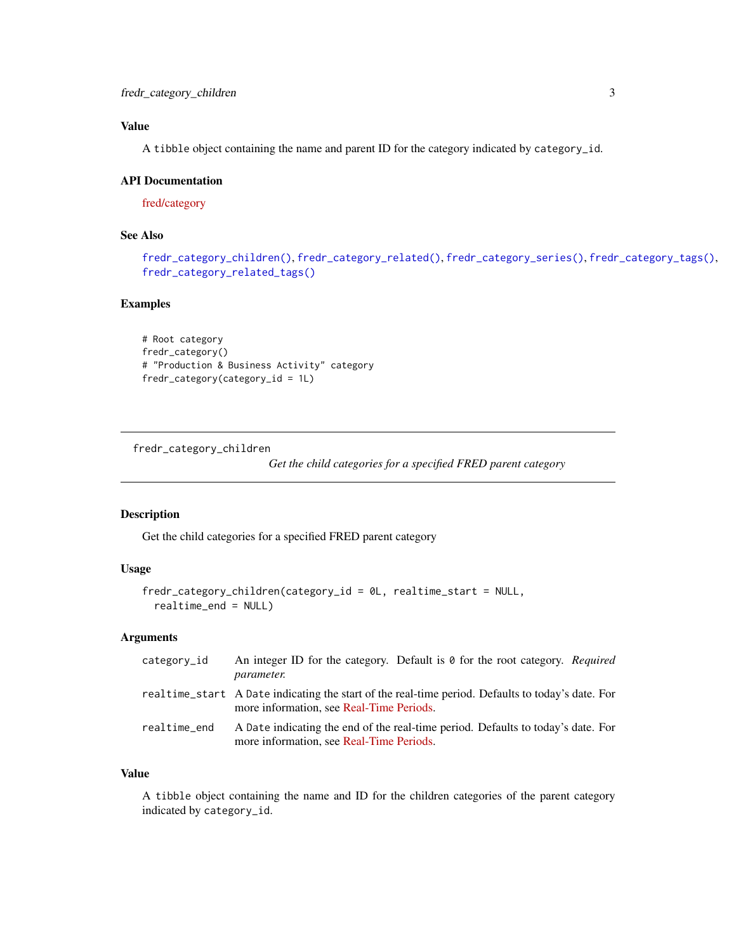<span id="page-2-0"></span>A tibble object containing the name and parent ID for the category indicated by category\_id.

#### API Documentation

[fred/category](https://research.stlouisfed.org/docs/api/fred/category.html)

## See Also

```
fredr_category_children(), fredr_category_related(), fredr_category_series(), fredr_category_tags(),
fredr_category_related_tags()
```
## Examples

```
# Root category
fredr_category()
# "Production & Business Activity" category
fredr_category(category_id = 1L)
```
<span id="page-2-1"></span>fredr\_category\_children

*Get the child categories for a specified FRED parent category*

## Description

Get the child categories for a specified FRED parent category

## Usage

```
fredr_category_children(category_id = 0L, realtime_start = NULL,
  realtime_end = NULL)
```
#### Arguments

| category_id  | An integer ID for the category. Default is $\theta$ for the root category. Required<br><i>parameter.</i>                                      |
|--------------|-----------------------------------------------------------------------------------------------------------------------------------------------|
|              | realtime_start A Date indicating the start of the real-time period. Defaults to today's date. For<br>more information, see Real-Time Periods. |
| realtime_end | A Date indicating the end of the real-time period. Defaults to today's date. For<br>more information, see Real-Time Periods.                  |

## Value

A tibble object containing the name and ID for the children categories of the parent category indicated by category\_id.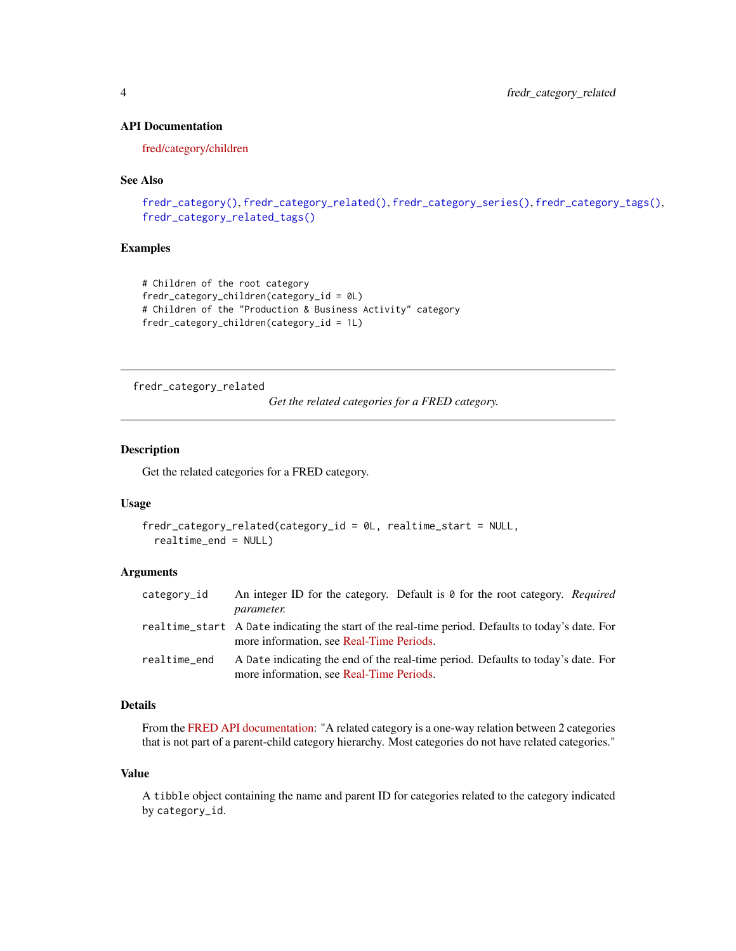## API Documentation

[fred/category/children](https://research.stlouisfed.org/docs/api/fred/category_children.html)

#### See Also

```
fredr_category(), fredr_category_related(), fredr_category_series(), fredr_category_tags(),
fredr_category_related_tags()
```
#### Examples

```
# Children of the root category
fredr_category_children(category_id = 0L)
# Children of the "Production & Business Activity" category
fredr_category_children(category_id = 1L)
```
<span id="page-3-1"></span>fredr\_category\_related

*Get the related categories for a FRED category.*

#### Description

Get the related categories for a FRED category.

#### Usage

```
fredr_category_related(category_id = 0L, realtime_start = NULL,
 realtime_end = NULL)
```
#### **Arguments**

| category_id  | An integer ID for the category. Default is 0 for the root category. Required<br><i>parameter.</i>                                             |
|--------------|-----------------------------------------------------------------------------------------------------------------------------------------------|
|              | realtime_start A Date indicating the start of the real-time period. Defaults to today's date. For<br>more information, see Real-Time Periods. |
| realtime_end | A Date indicating the end of the real-time period. Defaults to today's date. For<br>more information, see Real-Time Periods.                  |

#### Details

From the [FRED API documentation:](https://research.stlouisfed.org/docs/api/fred/category_related.html) "A related category is a one-way relation between 2 categories that is not part of a parent-child category hierarchy. Most categories do not have related categories."

#### Value

A tibble object containing the name and parent ID for categories related to the category indicated by category\_id.

<span id="page-3-0"></span>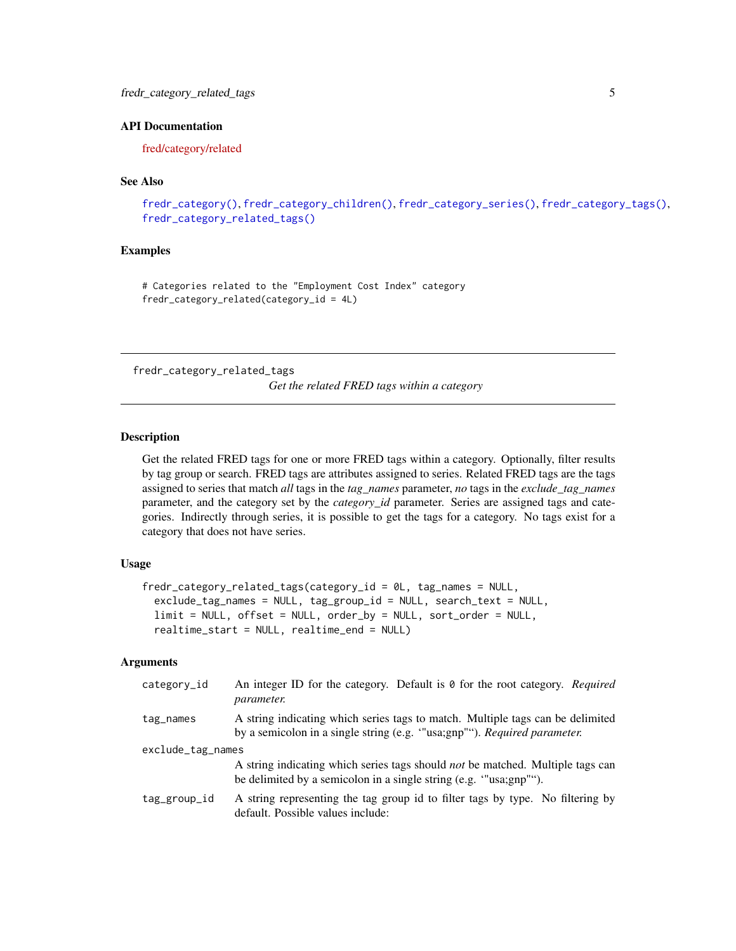## <span id="page-4-0"></span>API Documentation

[fred/category/related](https://research.stlouisfed.org/docs/api/fred/category_related.html)

#### See Also

```
fredr_category(), fredr_category_children(), fredr_category_series(), fredr_category_tags(),
fredr_category_related_tags()
```
## Examples

# Categories related to the "Employment Cost Index" category fredr\_category\_related(category\_id = 4L)

<span id="page-4-1"></span>fredr\_category\_related\_tags

*Get the related FRED tags within a category*

#### Description

Get the related FRED tags for one or more FRED tags within a category. Optionally, filter results by tag group or search. FRED tags are attributes assigned to series. Related FRED tags are the tags assigned to series that match *all* tags in the *tag\_names* parameter, *no* tags in the *exclude\_tag\_names* parameter, and the category set by the *category\_id* parameter. Series are assigned tags and categories. Indirectly through series, it is possible to get the tags for a category. No tags exist for a category that does not have series.

#### Usage

```
fredr_category_related_tags(category_id = 0L, tag_names = NULL,
  exclude_tag_names = NULL, tag_group_id = NULL, search_text = NULL,
  limit = NULL, offset = NULL, order_by = NULL, sort_order = NULL,
  realtime_start = NULL, realtime_end = NULL)
```

| category_id       | An integer ID for the category. Default is $\theta$ for the root category. Required<br><i>parameter.</i>                                                   |  |
|-------------------|------------------------------------------------------------------------------------------------------------------------------------------------------------|--|
| tag_names         | A string indicating which series tags to match. Multiple tags can be delimited<br>by a semicolon in a single string (e.g. "usa;gnp""). Required parameter. |  |
| exclude_tag_names |                                                                                                                                                            |  |
|                   | A string indicating which series tags should <i>not</i> be matched. Multiple tags can<br>be delimited by a semicolon in a single string (e.g. "usa;gnp""). |  |
| tag_group_id      | A string representing the tag group id to filter tags by type. No filtering by<br>default. Possible values include:                                        |  |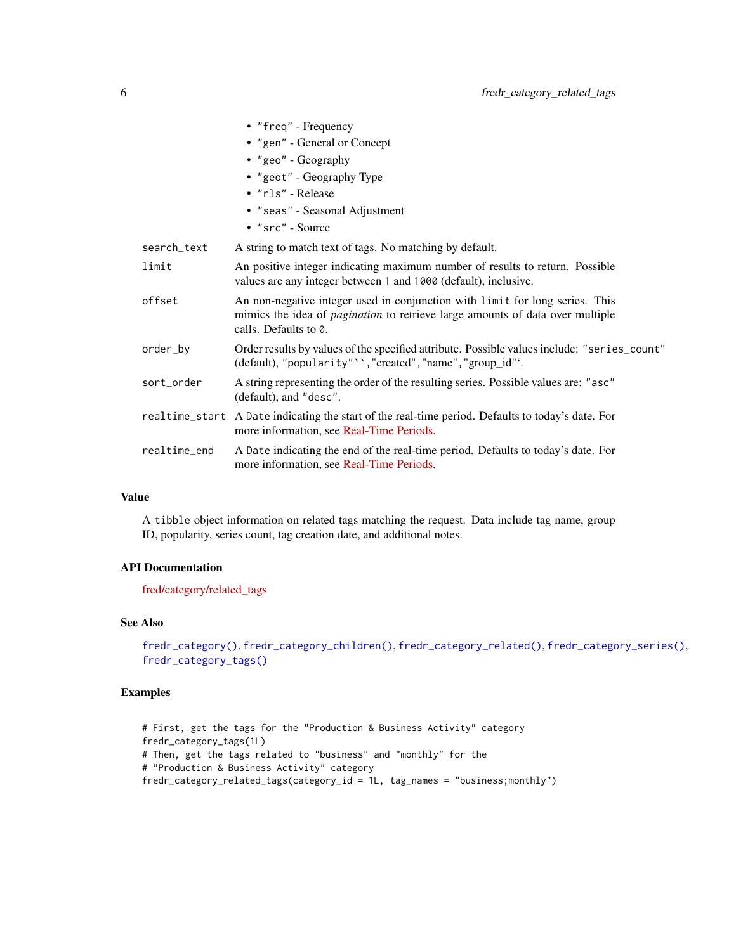<span id="page-5-0"></span>

|              | • "freq" - Frequency                                                                                                                                                                          |
|--------------|-----------------------------------------------------------------------------------------------------------------------------------------------------------------------------------------------|
|              | • "gen" - General or Concept                                                                                                                                                                  |
|              | • "geo" - Geography                                                                                                                                                                           |
|              | • "geot" - Geography Type                                                                                                                                                                     |
|              | · "rls" - Release                                                                                                                                                                             |
|              | • "seas" - Seasonal Adjustment                                                                                                                                                                |
|              | $\bullet$ "src" - Source                                                                                                                                                                      |
| search_text  | A string to match text of tags. No matching by default.                                                                                                                                       |
| limit        | An positive integer indicating maximum number of results to return. Possible<br>values are any integer between 1 and 1000 (default), inclusive.                                               |
| offset       | An non-negative integer used in conjunction with limit for long series. This<br>mimics the idea of <i>pagination</i> to retrieve large amounts of data over multiple<br>calls. Defaults to 0. |
| order_by     | Order results by values of the specified attribute. Possible values include: "series_count"<br>(default), "popularity" ', "created", "name", "group_id"'.                                     |
| sort_order   | A string representing the order of the resulting series. Possible values are: "asc"<br>(default), and "desc".                                                                                 |
|              | realtime_start A Date indicating the start of the real-time period. Defaults to today's date. For<br>more information, see Real-Time Periods.                                                 |
| realtime end | A Date indicating the end of the real-time period. Defaults to today's date. For<br>more information, see Real-Time Periods.                                                                  |
|              |                                                                                                                                                                                               |

A tibble object information on related tags matching the request. Data include tag name, group ID, popularity, series count, tag creation date, and additional notes.

## API Documentation

[fred/category/related\\_tags](https://research.stlouisfed.org/docs/api/fred/category_related_tags.html)

## See Also

```
fredr_category(), fredr_category_children(), fredr_category_related(), fredr_category_series(),
fredr_category_tags()
```
## Examples

```
# First, get the tags for the "Production & Business Activity" category
fredr_category_tags(1L)
# Then, get the tags related to "business" and "monthly" for the
# "Production & Business Activity" category
fredr_category_related_tags(category_id = 1L, tag_names = "business;monthly")
```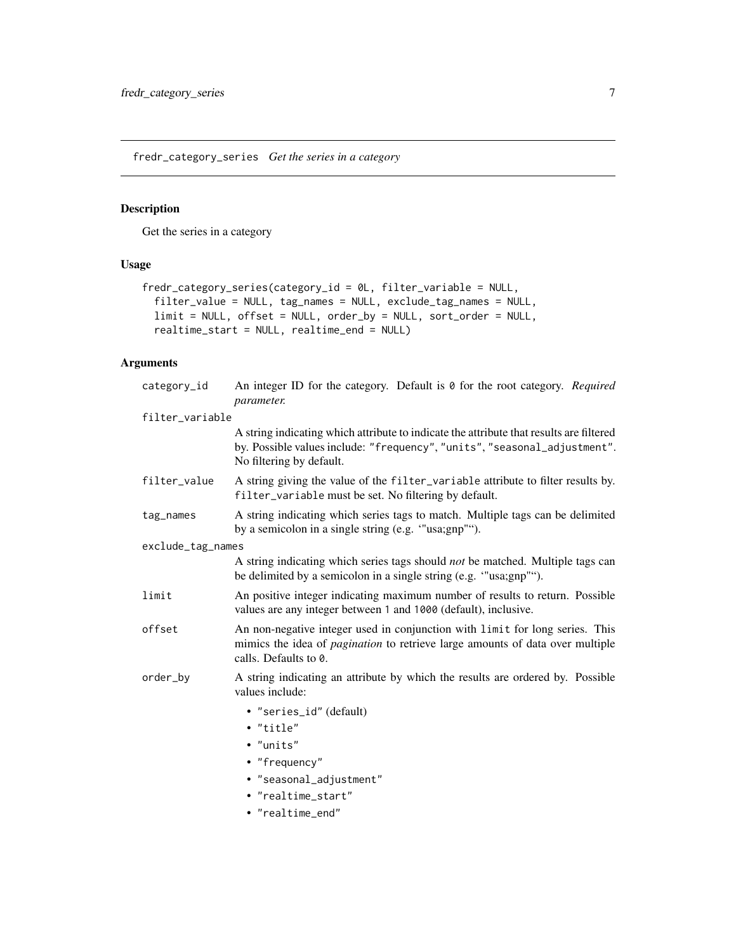<span id="page-6-1"></span><span id="page-6-0"></span>fredr\_category\_series *Get the series in a category*

## Description

Get the series in a category

## Usage

```
fredr_category_series(category_id = 0L, filter_variable = NULL,
  filter_value = NULL, tag_names = NULL, exclude_tag_names = NULL,
 limit = NULL, offset = NULL, order_by = NULL, sort_order = NULL,
 realtime_start = NULL, realtime_end = NULL)
```

| category_id       | An integer ID for the category. Default is 0 for the root category. Required<br>parameter.                                                                                                       |
|-------------------|--------------------------------------------------------------------------------------------------------------------------------------------------------------------------------------------------|
| filter_variable   |                                                                                                                                                                                                  |
|                   | A string indicating which attribute to indicate the attribute that results are filtered<br>by. Possible values include: "frequency", "units", "seasonal_adjustment".<br>No filtering by default. |
| filter_value      | A string giving the value of the filter_variable attribute to filter results by.<br>filter_variable must be set. No filtering by default.                                                        |
| tag_names         | A string indicating which series tags to match. Multiple tags can be delimited<br>by a semicolon in a single string (e.g. "usa;gnp"").                                                           |
| exclude_tag_names |                                                                                                                                                                                                  |
|                   | A string indicating which series tags should <i>not</i> be matched. Multiple tags can<br>be delimited by a semicolon in a single string (e.g. "usa;gnp"").                                       |
| limit             | An positive integer indicating maximum number of results to return. Possible<br>values are any integer between 1 and 1000 (default), inclusive.                                                  |
| offset            | An non-negative integer used in conjunction with limit for long series. This<br>mimics the idea of <i>pagination</i> to retrieve large amounts of data over multiple<br>calls. Defaults to 0.    |
| order_by          | A string indicating an attribute by which the results are ordered by. Possible<br>values include:                                                                                                |
|                   | • "series_id" (default)<br>• "title"<br>$\bullet$ "units"<br>• "frequency"<br>· "seasonal_adjustment"<br>• "realtime_start"<br>• "realtime_end"                                                  |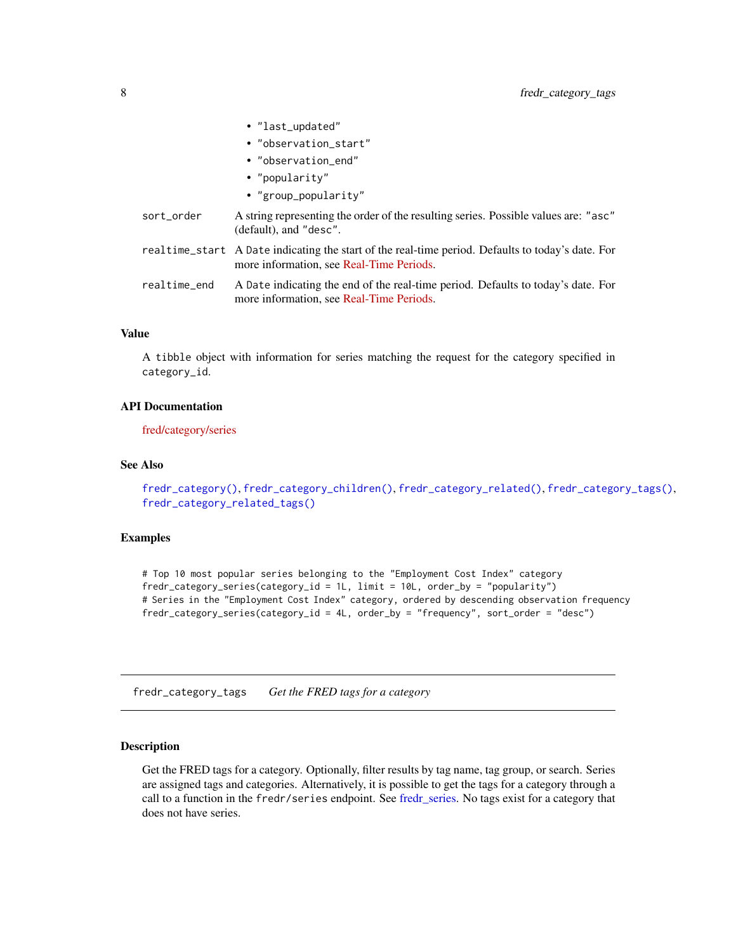<span id="page-7-0"></span>

|              | · "last_updated"                                                                                                                              |
|--------------|-----------------------------------------------------------------------------------------------------------------------------------------------|
|              | • "observation_start"                                                                                                                         |
|              | • "observation_end"                                                                                                                           |
|              | • "popularity"                                                                                                                                |
|              | • "group_popularity"                                                                                                                          |
| sort_order   | A string representing the order of the resulting series. Possible values are: "asc"<br>$(default)$ , and "desc".                              |
|              | realtime_start A Date indicating the start of the real-time period. Defaults to today's date. For<br>more information, see Real-Time Periods. |
| realtime_end | A Date indicating the end of the real-time period. Defaults to today's date. For<br>more information, see Real-Time Periods.                  |
|              |                                                                                                                                               |

A tibble object with information for series matching the request for the category specified in category\_id.

#### API Documentation

[fred/category/series](https://research.stlouisfed.org/docs/api/fred/category_series.html)

#### See Also

[fredr\\_category\(\)](#page-1-1), [fredr\\_category\\_children\(\)](#page-2-1), [fredr\\_category\\_related\(\)](#page-3-1), [fredr\\_category\\_tags\(\)](#page-7-1), [fredr\\_category\\_related\\_tags\(\)](#page-4-1)

#### Examples

# Top 10 most popular series belonging to the "Employment Cost Index" category fredr\_category\_series(category\_id = 1L, limit = 10L, order\_by = "popularity") # Series in the "Employment Cost Index" category, ordered by descending observation frequency fredr\_category\_series(category\_id = 4L, order\_by = "frequency", sort\_order = "desc")

<span id="page-7-1"></span>fredr\_category\_tags *Get the FRED tags for a category*

## Description

Get the FRED tags for a category. Optionally, filter results by tag name, tag group, or search. Series are assigned tags and categories. Alternatively, it is possible to get the tags for a category through a call to a function in the fredr/series endpoint. See [fredr\\_series.](#page-24-1) No tags exist for a category that does not have series.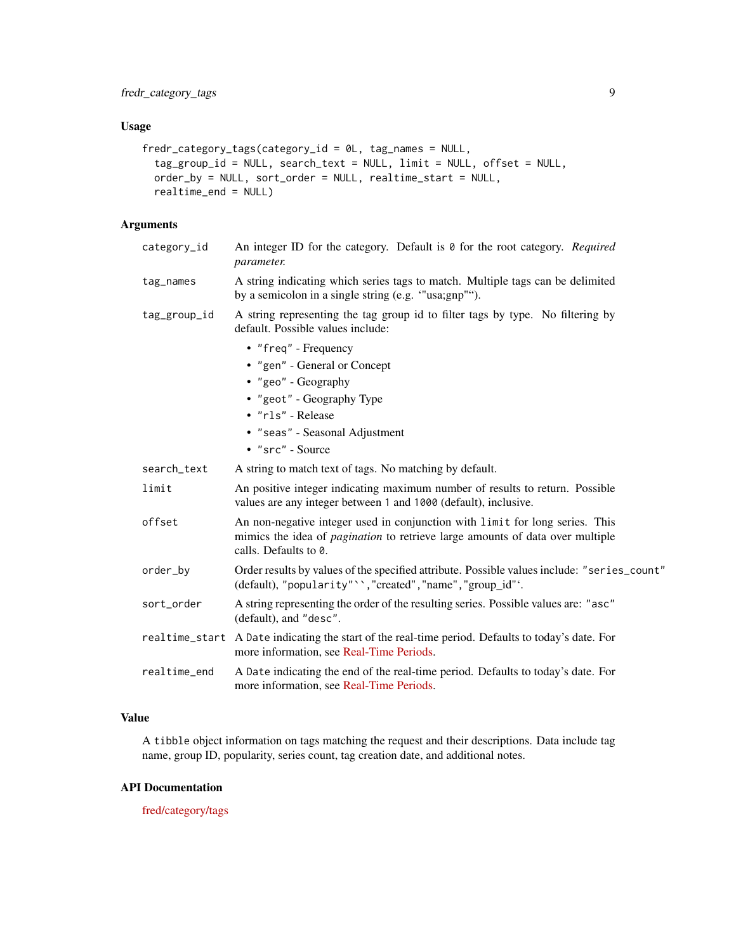## Usage

```
fredr_category_tags(category_id = 0L, tag_names = NULL,
  tag_group_id = NULL, search_text = NULL, limit = NULL, offset = NULL,
 order_by = NULL, sort_order = NULL, realtime_start = NULL,
  realtime_end = NULL)
```
## Arguments

| category_id  | An integer ID for the category. Default is 0 for the root category. Required<br>parameter.                                                                                                    |
|--------------|-----------------------------------------------------------------------------------------------------------------------------------------------------------------------------------------------|
| tag_names    | A string indicating which series tags to match. Multiple tags can be delimited<br>by a semicolon in a single string (e.g. "usa;gnp"").                                                        |
| tag_group_id | A string representing the tag group id to filter tags by type. No filtering by<br>default. Possible values include:                                                                           |
|              | • "freq" - Frequency                                                                                                                                                                          |
|              | • "gen" - General or Concept                                                                                                                                                                  |
|              | • "geo" - Geography                                                                                                                                                                           |
|              | • "geot" - Geography Type                                                                                                                                                                     |
|              | · "rls" - Release                                                                                                                                                                             |
|              | • "seas" - Seasonal Adjustment                                                                                                                                                                |
|              | • "src" - Source                                                                                                                                                                              |
| search_text  | A string to match text of tags. No matching by default.                                                                                                                                       |
| limit        | An positive integer indicating maximum number of results to return. Possible<br>values are any integer between 1 and 1000 (default), inclusive.                                               |
| offset       | An non-negative integer used in conjunction with limit for long series. This<br>mimics the idea of <i>pagination</i> to retrieve large amounts of data over multiple<br>calls. Defaults to 0. |
| order_by     | Order results by values of the specified attribute. Possible values include: "series_count"<br>(default), "popularity" ', "created", "name", "group_id"'.                                     |
| sort_order   | A string representing the order of the resulting series. Possible values are: "asc"<br>(default), and "desc".                                                                                 |
|              | realtime_start A Date indicating the start of the real-time period. Defaults to today's date. For<br>more information, see Real-Time Periods.                                                 |
| realtime_end | A Date indicating the end of the real-time period. Defaults to today's date. For<br>more information, see Real-Time Periods.                                                                  |
|              |                                                                                                                                                                                               |

## Value

A tibble object information on tags matching the request and their descriptions. Data include tag name, group ID, popularity, series count, tag creation date, and additional notes.

## API Documentation

[fred/category/tags](https://research.stlouisfed.org/docs/api/fred/category_tags.html)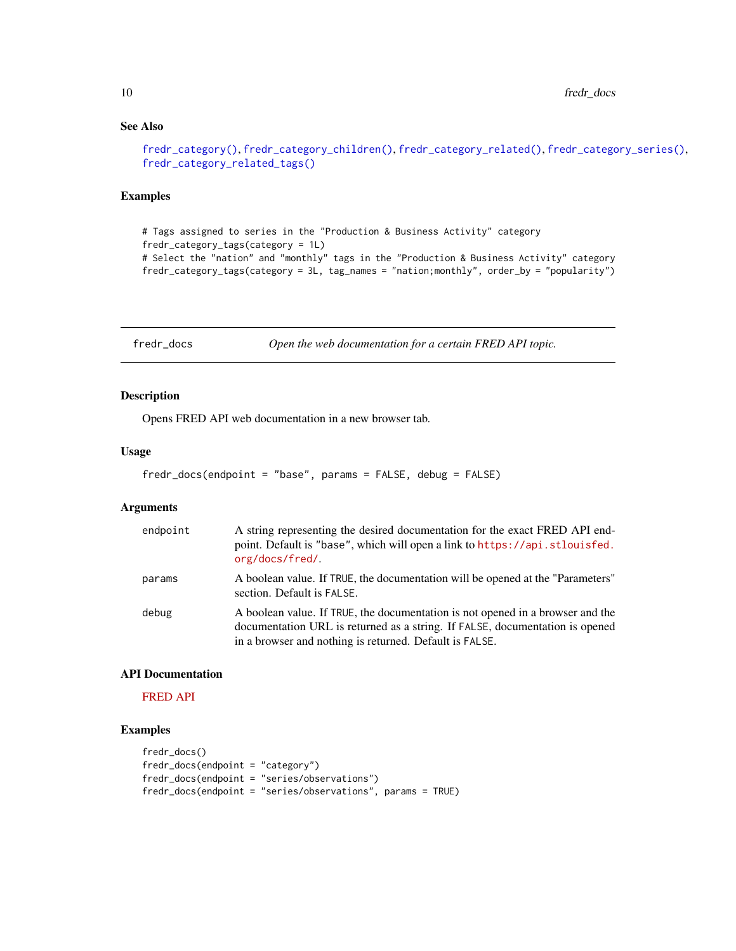## See Also

```
fredr_category(), fredr_category_children(), fredr_category_related(), fredr_category_series(),
fredr_category_related_tags()
```
#### Examples

```
# Tags assigned to series in the "Production & Business Activity" category
fredr_category_tags(category = 1L)
# Select the "nation" and "monthly" tags in the "Production & Business Activity" category
fredr_category_tags(category = 3L, tag_names = "nation;monthly", order_by = "popularity")
```
<span id="page-9-1"></span>fredr\_docs *Open the web documentation for a certain FRED API topic.*

## Description

Opens FRED API web documentation in a new browser tab.

#### Usage

```
fredr_docs(endpoint = "base", params = FALSE, debug = FALSE)
```
## Arguments

| endpoint | A string representing the desired documentation for the exact FRED API end-<br>point. Default is "base", which will open a link to https://api.stlouisfed.<br>org/docs/fred/                                              |
|----------|---------------------------------------------------------------------------------------------------------------------------------------------------------------------------------------------------------------------------|
| params   | A boolean value. If TRUE, the documentation will be opened at the "Parameters"<br>section. Default is FALSE.                                                                                                              |
| debug    | A boolean value. If TRUE, the documentation is not opened in a browser and the<br>documentation URL is returned as a string. If FALSE, documentation is opened<br>in a browser and nothing is returned. Default is FALSE. |

#### API Documentation

[FRED API](https://api.stlouisfed.org/docs/fred/)

#### Examples

```
fredr_docs()
fredr_docs(endpoint = "category")
fredr_docs(endpoint = "series/observations")
fredr_docs(endpoint = "series/observations", params = TRUE)
```
<span id="page-9-0"></span>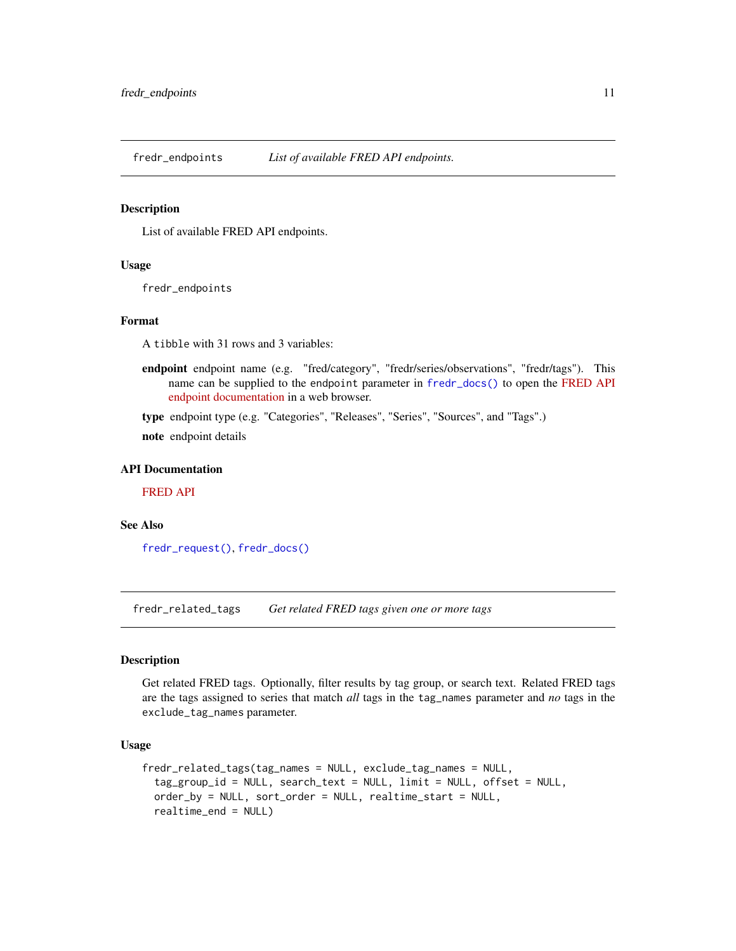<span id="page-10-1"></span><span id="page-10-0"></span>

#### Description

List of available FRED API endpoints.

#### Usage

fredr\_endpoints

#### Format

A tibble with 31 rows and 3 variables:

endpoint endpoint name (e.g. "fred/category", "fredr/series/observations", "fredr/tags"). This name can be supplied to the endpoint parameter in [fredr\\_docs\(\)](#page-9-1) to open the [FRED API](https://api.stlouisfed.org/docs/fred/) [endpoint documentation](https://api.stlouisfed.org/docs/fred/) in a web browser.

type endpoint type (e.g. "Categories", "Releases", "Series", "Sources", and "Tags".)

note endpoint details

#### API Documentation

[FRED API](https://api.stlouisfed.org/docs/fred/)

#### See Also

[fredr\\_request\(\)](#page-23-1), [fredr\\_docs\(\)](#page-9-1)

<span id="page-10-2"></span>fredr\_related\_tags *Get related FRED tags given one or more tags*

## Description

Get related FRED tags. Optionally, filter results by tag group, or search text. Related FRED tags are the tags assigned to series that match *all* tags in the tag\_names parameter and *no* tags in the exclude\_tag\_names parameter.

## Usage

```
fredr_related_tags(tag_names = NULL, exclude_tag_names = NULL,
 tag_group_id = NULL, search_text = NULL, limit = NULL, offset = NULL,
 order_by = NULL, sort_order = NULL, realtime_start = NULL,
  realtime_end = NULL)
```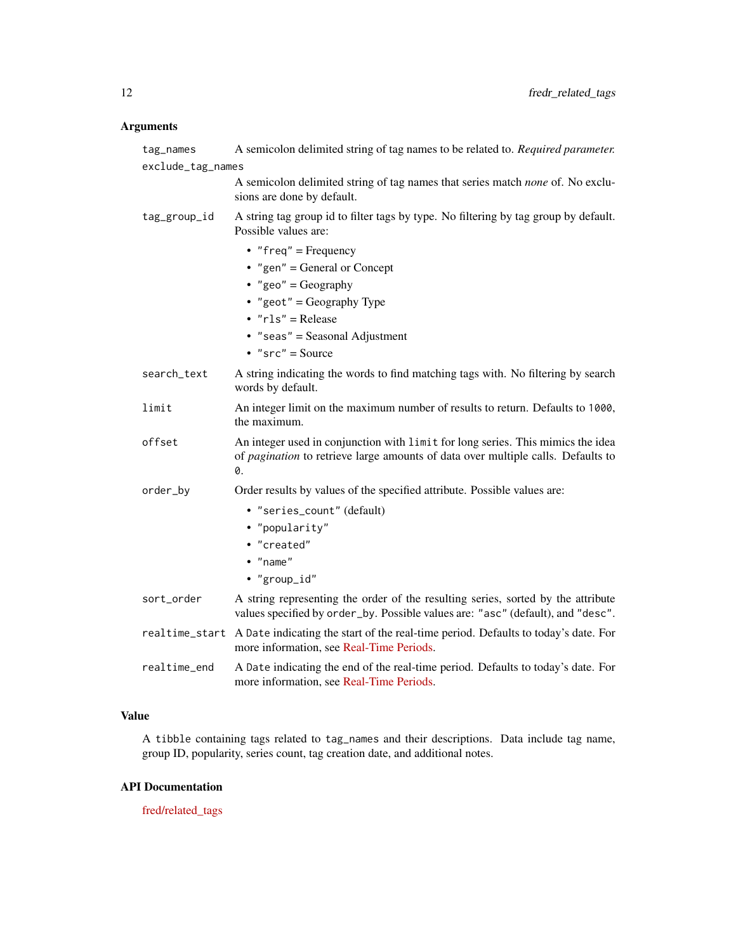## Arguments

| tag_names         | A semicolon delimited string of tag names to be related to. Required parameter.                                                                                           |  |
|-------------------|---------------------------------------------------------------------------------------------------------------------------------------------------------------------------|--|
| exclude_tag_names |                                                                                                                                                                           |  |
|                   | A semicolon delimited string of tag names that series match none of. No exclu-<br>sions are done by default.                                                              |  |
| tag_group_id      | A string tag group id to filter tags by type. No filtering by tag group by default.<br>Possible values are:                                                               |  |
|                   | • "freq" = Frequency                                                                                                                                                      |  |
|                   | • "gen" = General or Concept                                                                                                                                              |  |
|                   | • "geo" = Geography                                                                                                                                                       |  |
|                   | • "geot" = Geography Type                                                                                                                                                 |  |
|                   | $\cdot$ "rls" = Release                                                                                                                                                   |  |
|                   | • "seas" = Seasonal Adjustment                                                                                                                                            |  |
|                   | $\cdot$ "src" = Source                                                                                                                                                    |  |
| search_text       | A string indicating the words to find matching tags with. No filtering by search<br>words by default.                                                                     |  |
| limit             | An integer limit on the maximum number of results to return. Defaults to 1000,<br>the maximum.                                                                            |  |
| offset            | An integer used in conjunction with limit for long series. This mimics the idea<br>of pagination to retrieve large amounts of data over multiple calls. Defaults to<br>Ø. |  |
| order_by          | Order results by values of the specified attribute. Possible values are:                                                                                                  |  |
|                   | • "series_count" (default)                                                                                                                                                |  |
|                   | • "popularity"                                                                                                                                                            |  |
|                   | • "created"                                                                                                                                                               |  |
|                   | $\bullet$ "name"                                                                                                                                                          |  |
|                   | • "group_id"                                                                                                                                                              |  |
| sort_order        | A string representing the order of the resulting series, sorted by the attribute<br>values specified by order_by. Possible values are: "asc" (default), and "desc".       |  |
|                   | realtime_start A Date indicating the start of the real-time period. Defaults to today's date. For<br>more information, see Real-Time Periods.                             |  |
| realtime_end      | A Date indicating the end of the real-time period. Defaults to today's date. For<br>more information, see Real-Time Periods.                                              |  |

## Value

A tibble containing tags related to tag\_names and their descriptions. Data include tag name, group ID, popularity, series count, tag creation date, and additional notes.

## API Documentation

[fred/related\\_tags](https://research.stlouisfed.org/docs/api/fred/related_tags.html)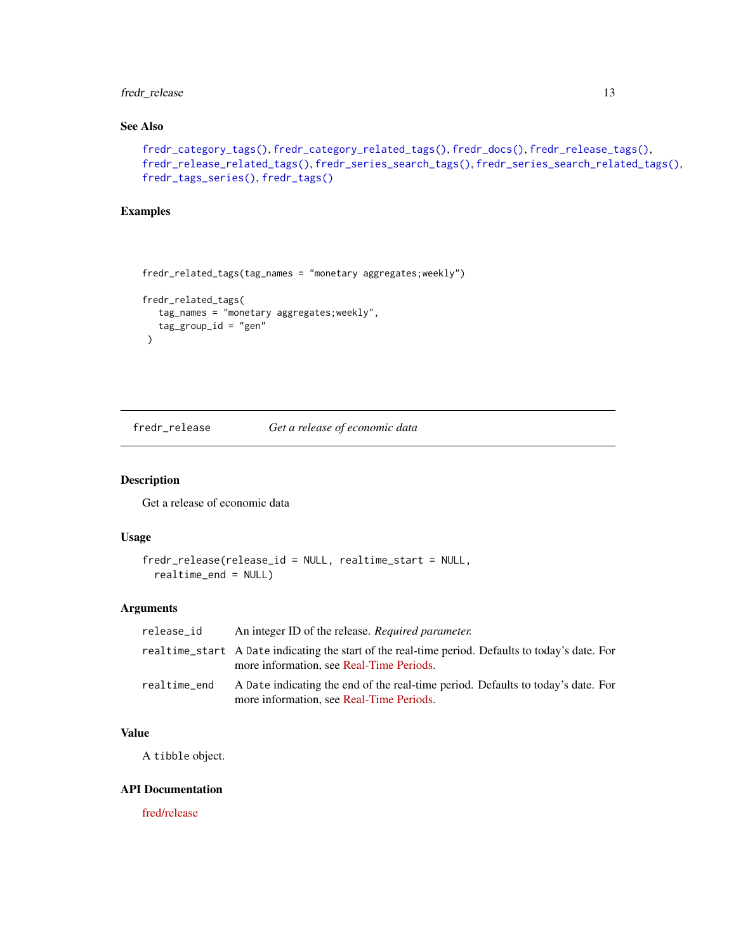## <span id="page-12-0"></span>fredr\_release 13

## See Also

```
fredr_category_tags(), fredr_category_related_tags(), fredr_docs(), fredr_release_tags(),
fredr_release_related_tags(), fredr_series_search_tags(), fredr_series_search_related_tags(),
fredr_tags_series(), fredr_tags()
```
## Examples

```
fredr_related_tags(tag_names = "monetary aggregates;weekly")
fredr_related_tags(
  tag_names = "monetary aggregates;weekly",
  tag\_group_id = "gen"\lambda
```
<span id="page-12-1"></span>fredr\_release *Get a release of economic data*

#### Description

Get a release of economic data

## Usage

```
fredr_release(release_id = NULL, realtime_start = NULL,
 realtime_end = NULL)
```
## Arguments

| release id   | An integer ID of the release. Required parameter.                                                                                             |
|--------------|-----------------------------------------------------------------------------------------------------------------------------------------------|
|              | realtime_start A Date indicating the start of the real-time period. Defaults to today's date. For<br>more information, see Real-Time Periods. |
| realtime_end | A Date indicating the end of the real-time period. Defaults to today's date. For<br>more information, see Real-Time Periods.                  |

#### Value

A tibble object.

#### API Documentation

[fred/release](https://research.stlouisfed.org/docs/api/fred/release.html)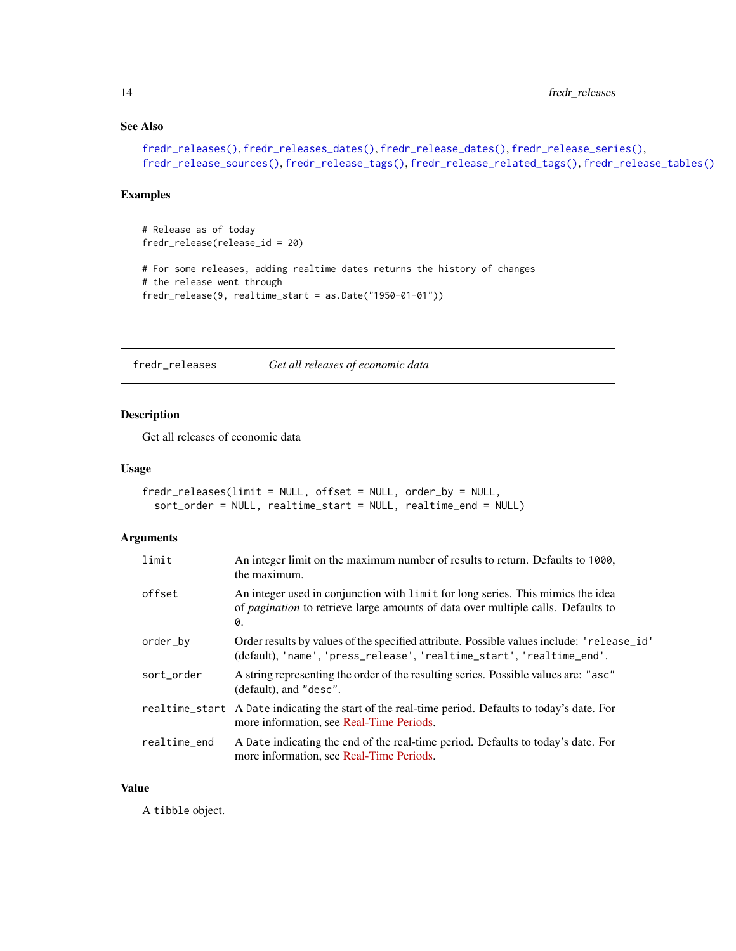## See Also

```
fredr_releases(), fredr_releases_dates(), fredr_release_dates(), fredr_release_series(),
fredr_release_sources(), fredr_release_tags(), fredr_release_related_tags(), fredr_release_tables()
```
## Examples

```
# Release as of today
fredr_release(release_id = 20)
# For some releases, adding realtime dates returns the history of changes
# the release went through
fredr_release(9, realtime_start = as.Date("1950-01-01"))
```
<span id="page-13-1"></span>fredr\_releases *Get all releases of economic data*

#### Description

Get all releases of economic data

#### Usage

```
fredr_releases(limit = NULL, offset = NULL, order_by = NULL,
  sort_order = NULL, realtime_start = NULL, realtime_end = NULL)
```
#### Arguments

| limit        | An integer limit on the maximum number of results to return. Defaults to 1000,<br>the maximum.                                                                                   |
|--------------|----------------------------------------------------------------------------------------------------------------------------------------------------------------------------------|
| offset       | An integer used in conjunction with limit for long series. This mimics the idea<br>of <i>pagination</i> to retrieve large amounts of data over multiple calls. Defaults to<br>0. |
| order_by     | Order results by values of the specified attribute. Possible values include: 'release_id'<br>(default), 'name', 'press_release', 'realtime_start', 'realtime_end'.               |
| sort_order   | A string representing the order of the resulting series. Possible values are: "asc"<br>(default), and "desc".                                                                    |
|              | realtime_start A Date indicating the start of the real-time period. Defaults to today's date. For<br>more information, see Real-Time Periods.                                    |
| realtime_end | A Date indicating the end of the real-time period. Defaults to today's date. For<br>more information, see Real-Time Periods.                                                     |

#### Value

A tibble object.

<span id="page-13-0"></span>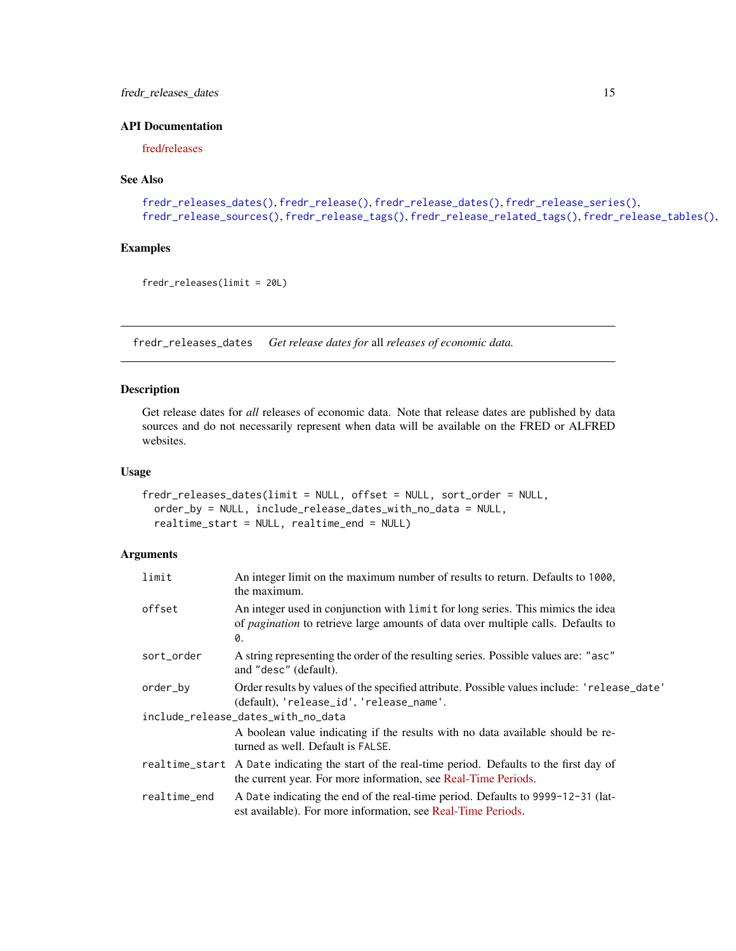## <span id="page-14-0"></span>fredr\_releases\_dates 15

## API Documentation

[fred/releases](https://research.stlouisfed.org/docs/api/fred/releases.html)

## See Also

```
fredr_releases_dates(), fredr_release(), fredr_release_dates(), fredr_release_series(),
fredr_release_sources(), fredr_release_tags(), fredr_release_related_tags(), fredr_release_tables(),
```
## Examples

```
fredr_releases(limit = 20L)
```
<span id="page-14-1"></span>fredr\_releases\_dates *Get release dates for* all *releases of economic data.*

## Description

Get release dates for *all* releases of economic data. Note that release dates are published by data sources and do not necessarily represent when data will be available on the FRED or ALFRED websites.

#### Usage

```
fredr_releases_dates(limit = NULL, offset = NULL, sort_order = NULL,
  order_by = NULL, include_release_dates_with_no_data = NULL,
  realtime_start = NULL, realtime_end = NULL)
```

| limit        | An integer limit on the maximum number of results to return. Defaults to 1000,<br>the maximum.                                                                                   |
|--------------|----------------------------------------------------------------------------------------------------------------------------------------------------------------------------------|
| offset       | An integer used in conjunction with limit for long series. This mimics the idea<br>of <i>pagination</i> to retrieve large amounts of data over multiple calls. Defaults to<br>0. |
| sort_order   | A string representing the order of the resulting series. Possible values are: "asc"<br>and "desc" (default).                                                                     |
| order_by     | Order results by values of the specified attribute. Possible values include: 'release_date'<br>(default), 'release_id', 'release_name'.                                          |
|              | include_release_dates_with_no_data                                                                                                                                               |
|              | A boolean value indicating if the results with no data available should be re-<br>turned as well. Default is FALSE.                                                              |
|              | realtime_start A Date indicating the start of the real-time period. Defaults to the first day of<br>the current year. For more information, see Real-Time Periods.               |
| realtime_end | A Date indicating the end of the real-time period. Defaults to 9999-12-31 (lat-<br>est available). For more information, see Real-Time Periods.                                  |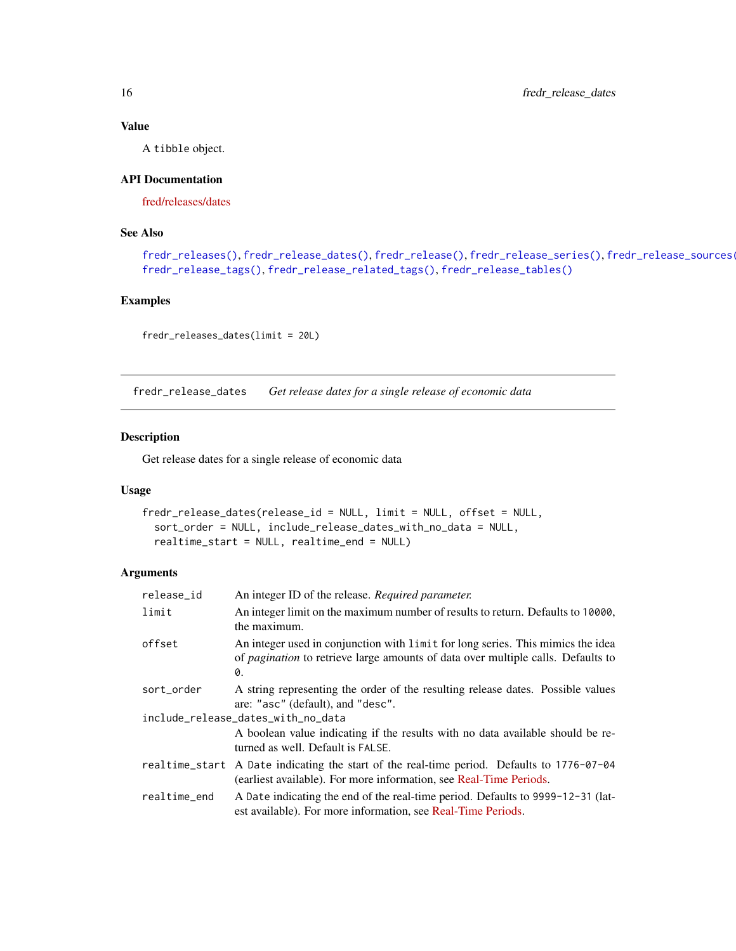A tibble object.

## API Documentation

[fred/releases/dates](https://research.stlouisfed.org/docs/api/fred/releases_dates.html)

## See Also

```
fredr_releases(), fredr_release_dates(), fredr_release(), fredr_release_series(), fredr_release_sources(),
fredr_release_tags(), fredr_release_related_tags(), fredr_release_tables()
```
#### Examples

fredr\_releases\_dates(limit = 20L)

<span id="page-15-1"></span>fredr\_release\_dates *Get release dates for a single release of economic data*

## Description

Get release dates for a single release of economic data

## Usage

```
fredr_release_dates(release_id = NULL, limit = NULL, offset = NULL,
  sort_order = NULL, include_release_dates_with_no_data = NULL,
  realtime_start = NULL, realtime_end = NULL)
```

| release_id                         | An integer ID of the release. Required parameter.                                                                                                                                |  |
|------------------------------------|----------------------------------------------------------------------------------------------------------------------------------------------------------------------------------|--|
| limit                              | An integer limit on the maximum number of results to return. Defaults to 10000,<br>the maximum.                                                                                  |  |
| offset                             | An integer used in conjunction with limit for long series. This mimics the idea<br>of <i>pagination</i> to retrieve large amounts of data over multiple calls. Defaults to<br>0. |  |
| sort_order                         | A string representing the order of the resulting release dates. Possible values<br>are: "asc" (default), and "desc".                                                             |  |
| include_release_dates_with_no_data |                                                                                                                                                                                  |  |
|                                    | A boolean value indicating if the results with no data available should be re-<br>turned as well. Default is FALSE.                                                              |  |
|                                    | realtime_start A Date indicating the start of the real-time period. Defaults to 1776-07-04<br>(earliest available). For more information, see Real-Time Periods.                 |  |
| realtime_end                       | A Date indicating the end of the real-time period. Defaults to 9999-12-31 (lat-<br>est available). For more information, see Real-Time Periods.                                  |  |

<span id="page-15-0"></span>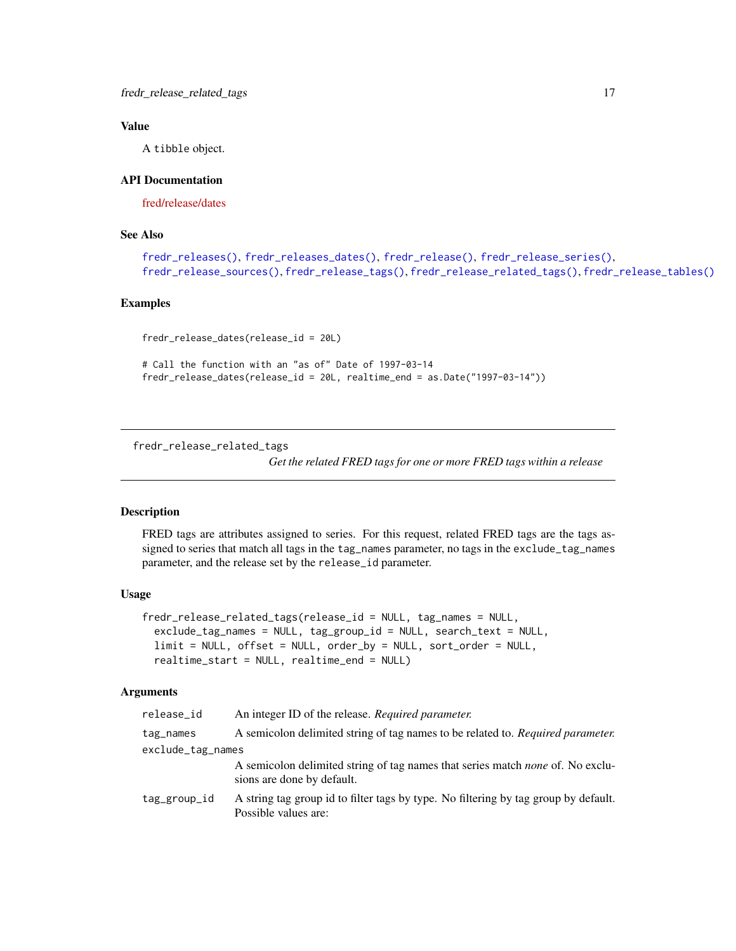<span id="page-16-0"></span>A tibble object.

#### API Documentation

[fred/release/dates](https://research.stlouisfed.org/docs/api/fred/release_dates.html)

## See Also

```
fredr_releases(), fredr_releases_dates(), fredr_release(), fredr_release_series(),
fredr_release_sources(), fredr_release_tags(), fredr_release_related_tags(), fredr_release_tables()
```
#### Examples

fredr\_release\_dates(release\_id = 20L)

```
# Call the function with an "as of" Date of 1997-03-14
fredr_release_dates(release_id = 20L, realtime_end = as.Date("1997-03-14"))
```
<span id="page-16-1"></span>fredr\_release\_related\_tags

*Get the related FRED tags for one or more FRED tags within a release*

#### Description

FRED tags are attributes assigned to series. For this request, related FRED tags are the tags assigned to series that match all tags in the tag\_names parameter, no tags in the exclude\_tag\_names parameter, and the release set by the release\_id parameter.

## Usage

```
fredr_release_related_tags(release_id = NULL, tag_names = NULL,
  exclude_tag_names = NULL, tag_group_id = NULL, search_text = NULL,
 limit = NULL, offset = NULL, order_by = NULL, sort_order = NULL,
  realtime_start = NULL, realtime_end = NULL)
```

| release_id        | An integer ID of the release. Required parameter.                                                                   |  |
|-------------------|---------------------------------------------------------------------------------------------------------------------|--|
| tag_names         | A semicolon delimited string of tag names to be related to. Required parameter.                                     |  |
| exclude_tag_names |                                                                                                                     |  |
|                   | A semicolon delimited string of tag names that series match <i>none</i> of. No exclu-<br>sions are done by default. |  |
| tag_group_id      | A string tag group id to filter tags by type. No filtering by tag group by default.<br>Possible values are:         |  |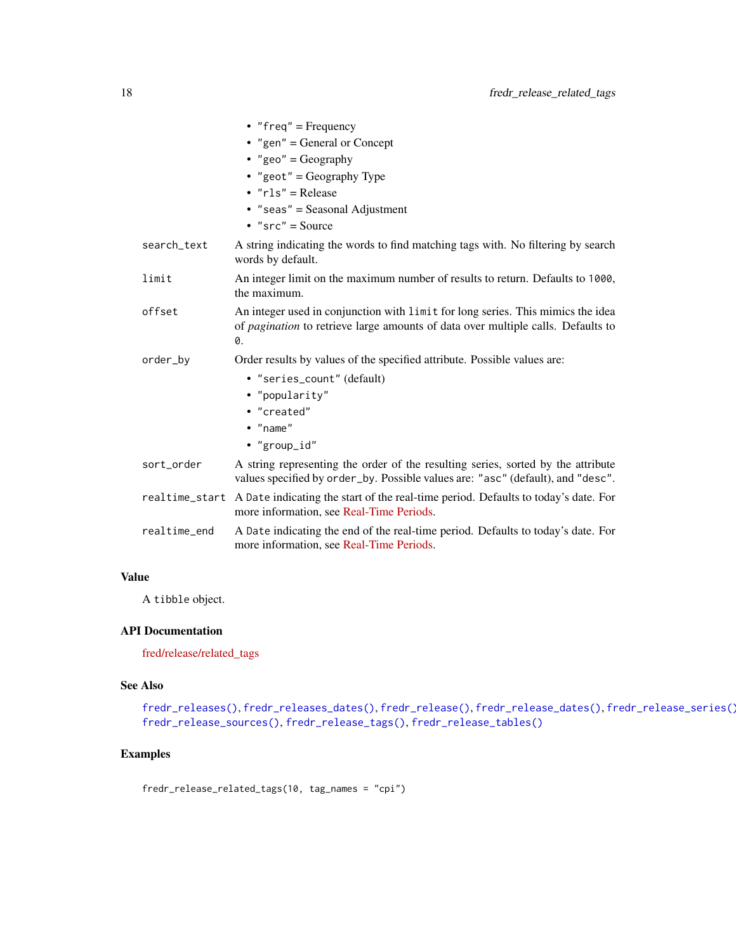<span id="page-17-0"></span>

|              | • "freq" = Frequency                                                                                                                                                             |
|--------------|----------------------------------------------------------------------------------------------------------------------------------------------------------------------------------|
|              | • "gen" = General or Concept                                                                                                                                                     |
|              | • "geo" = $Geography$                                                                                                                                                            |
|              | • "geot" = Geography Type                                                                                                                                                        |
|              | $\cdot$ " $rls$ " = Release                                                                                                                                                      |
|              | $•$ "seas" = Seasonal Adjustment                                                                                                                                                 |
|              | • " $src" = Source$                                                                                                                                                              |
| search_text  | A string indicating the words to find matching tags with. No filtering by search<br>words by default.                                                                            |
| limit        | An integer limit on the maximum number of results to return. Defaults to 1000,<br>the maximum.                                                                                   |
| offset       | An integer used in conjunction with limit for long series. This mimics the idea<br>of <i>pagination</i> to retrieve large amounts of data over multiple calls. Defaults to<br>0. |
| order_by     | Order results by values of the specified attribute. Possible values are:                                                                                                         |
|              | • "series_count" (default)                                                                                                                                                       |
|              | • "popularity"                                                                                                                                                                   |
|              | • "created"                                                                                                                                                                      |
|              | $\bullet$ "name"                                                                                                                                                                 |
|              | • "group_id"                                                                                                                                                                     |
| sort_order   | A string representing the order of the resulting series, sorted by the attribute<br>values specified by order_by. Possible values are: "asc" (default), and "desc".              |
|              | realtime_start A Date indicating the start of the real-time period. Defaults to today's date. For<br>more information, see Real-Time Periods.                                    |
| realtime_end | A Date indicating the end of the real-time period. Defaults to today's date. For<br>more information, see Real-Time Periods.                                                     |

A tibble object.

#### API Documentation

[fred/release/related\\_tags](https://research.stlouisfed.org/docs/api/fred/release_related_tags.html)

#### See Also

```
fredr_releases(), fredr_releases_dates(), fredr_release(), fredr_release_dates(), fredr_release_series(),
fredr_release_sources(), fredr_release_tags(), fredr_release_tables()
```
## Examples

fredr\_release\_related\_tags(10, tag\_names = "cpi")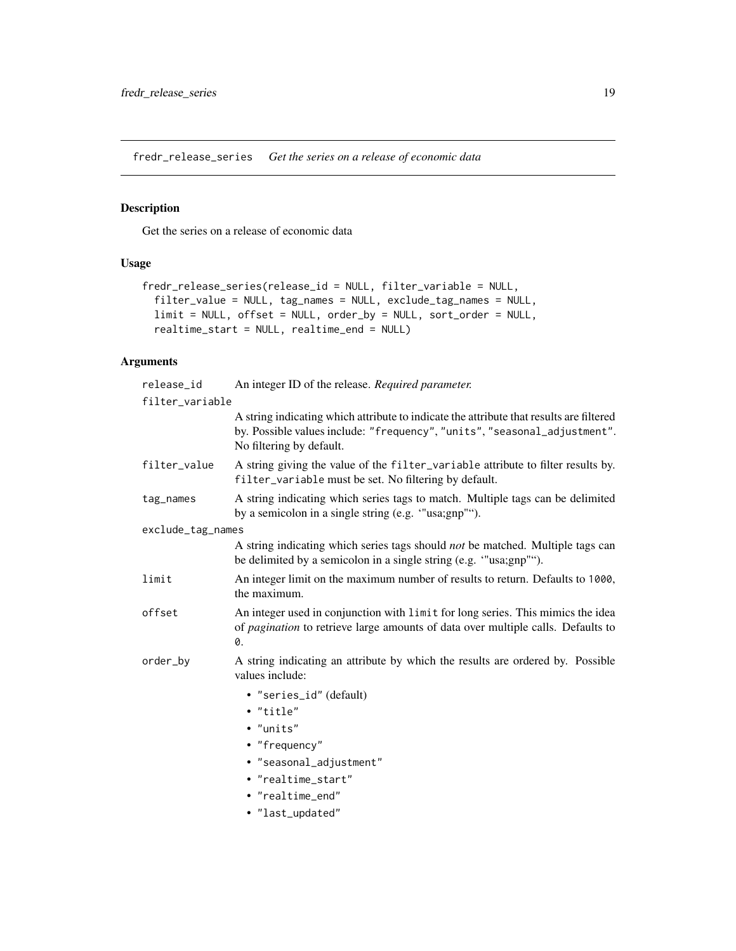<span id="page-18-1"></span><span id="page-18-0"></span>fredr\_release\_series *Get the series on a release of economic data*

## Description

Get the series on a release of economic data

## Usage

```
fredr_release_series(release_id = NULL, filter_variable = NULL,
  filter_value = NULL, tag_names = NULL, exclude_tag_names = NULL,
  limit = NULL, offset = NULL, order_by = NULL, sort_order = NULL,
 realtime_start = NULL, realtime_end = NULL)
```

| release_id        | An integer ID of the release. Required parameter.                                                                                                                                                |
|-------------------|--------------------------------------------------------------------------------------------------------------------------------------------------------------------------------------------------|
| filter_variable   |                                                                                                                                                                                                  |
|                   | A string indicating which attribute to indicate the attribute that results are filtered<br>by. Possible values include: "frequency", "units", "seasonal_adjustment".<br>No filtering by default. |
| filter_value      | A string giving the value of the filter_variable attribute to filter results by.<br>filter_variable must be set. No filtering by default.                                                        |
| tag_names         | A string indicating which series tags to match. Multiple tags can be delimited<br>by a semicolon in a single string (e.g. "usa;gnp"").                                                           |
| exclude_tag_names |                                                                                                                                                                                                  |
|                   | A string indicating which series tags should <i>not</i> be matched. Multiple tags can<br>be delimited by a semicolon in a single string (e.g. "usa;gnp"").                                       |
| limit             | An integer limit on the maximum number of results to return. Defaults to 1000,<br>the maximum.                                                                                                   |
| offset            | An integer used in conjunction with limit for long series. This mimics the idea<br>of <i>pagination</i> to retrieve large amounts of data over multiple calls. Defaults to<br>0.                 |
| order_by          | A string indicating an attribute by which the results are ordered by. Possible<br>values include:                                                                                                |
|                   | • "series_id" (default)                                                                                                                                                                          |
|                   | • "title"                                                                                                                                                                                        |
|                   | • "units"                                                                                                                                                                                        |
|                   | • "frequency"                                                                                                                                                                                    |
|                   | · "seasonal_adjustment"                                                                                                                                                                          |
|                   | • "realtime_start"                                                                                                                                                                               |
|                   | • "realtime_end"                                                                                                                                                                                 |
|                   | · "last_updated"                                                                                                                                                                                 |
|                   |                                                                                                                                                                                                  |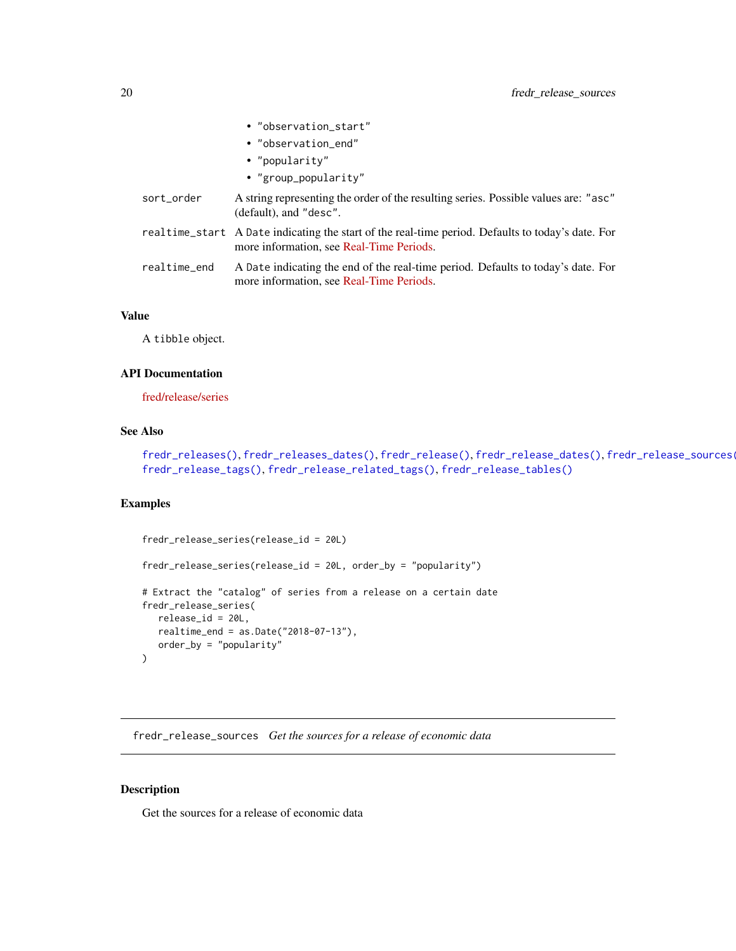<span id="page-19-0"></span>

|              | • "observation_start"                                                                                                                         |
|--------------|-----------------------------------------------------------------------------------------------------------------------------------------------|
|              | • "observation_end"                                                                                                                           |
|              | • "popularity"                                                                                                                                |
|              | • "group_popularity"                                                                                                                          |
| sort_order   | A string representing the order of the resulting series. Possible values are: "asc"<br>(default), and "desc".                                 |
|              | realtime_start A Date indicating the start of the real-time period. Defaults to today's date. For<br>more information, see Real-Time Periods. |
| realtime_end | A Date indicating the end of the real-time period. Defaults to today's date. For<br>more information, see Real-Time Periods.                  |

A tibble object.

## API Documentation

[fred/release/series](https://research.stlouisfed.org/docs/api/fred/release_series.html)

## See Also

[fredr\\_releases\(\)](#page-13-1), [fredr\\_releases\\_dates\(\)](#page-14-1), [fredr\\_release\(\)](#page-12-1), [fredr\\_release\\_dates\(\)](#page-15-1), [fredr\\_release\\_sources\(\)](#page-19-1), [fredr\\_release\\_tags\(\)](#page-21-1), [fredr\\_release\\_related\\_tags\(\)](#page-16-1), [fredr\\_release\\_tables\(\)](#page-20-1)

#### Examples

```
fredr_release_series(release_id = 20L)
fredr_release_series(release_id = 20L, order_by = "popularity")
# Extract the "catalog" of series from a release on a certain date
fredr_release_series(
  release_id = 20L,
  realtime_end = as.Date("2018-07-13"),
  order_by = "popularity"
)
```
<span id="page-19-1"></span>fredr\_release\_sources *Get the sources for a release of economic data*

#### Description

Get the sources for a release of economic data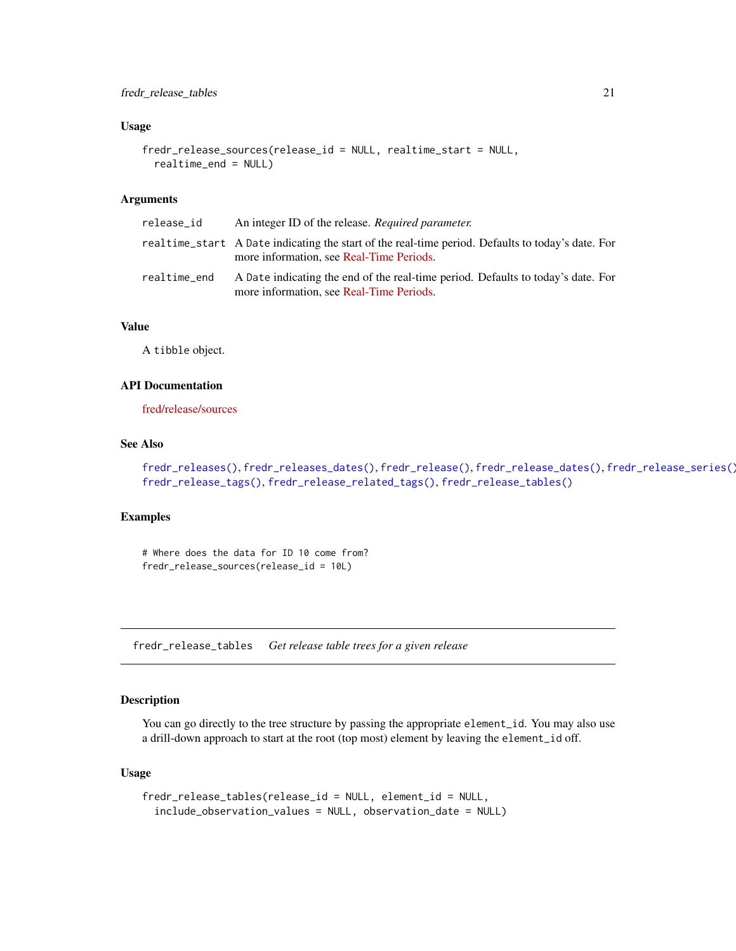#### <span id="page-20-0"></span>Usage

```
fredr_release_sources(release_id = NULL, realtime_start = NULL,
 realtime_end = NULL)
```
#### **Arguments**

| release_id   | An integer ID of the release. Required parameter.                                                                                              |
|--------------|------------------------------------------------------------------------------------------------------------------------------------------------|
|              | real time_start A Date indicating the start of the real-time period. Defaults to today's date. For<br>more information, see Real-Time Periods. |
| realtime_end | A Date indicating the end of the real-time period. Defaults to today's date. For<br>more information, see Real-Time Periods.                   |

#### Value

A tibble object.

#### API Documentation

[fred/release/sources](https://research.stlouisfed.org/docs/api/fred/release_sources.html)

## See Also

[fredr\\_releases\(\)](#page-13-1), [fredr\\_releases\\_dates\(\)](#page-14-1), [fredr\\_release\(\)](#page-12-1), [fredr\\_release\\_dates\(\)](#page-15-1), [fredr\\_release\\_series\(\)](#page-18-1), [fredr\\_release\\_tags\(\)](#page-21-1), [fredr\\_release\\_related\\_tags\(\)](#page-16-1), [fredr\\_release\\_tables\(\)](#page-20-1)

#### Examples

# Where does the data for ID 10 come from? fredr\_release\_sources(release\_id = 10L)

<span id="page-20-1"></span>fredr\_release\_tables *Get release table trees for a given release*

## Description

You can go directly to the tree structure by passing the appropriate element\_id. You may also use a drill-down approach to start at the root (top most) element by leaving the element\_id off.

#### Usage

```
fredr_release_tables(release_id = NULL, element_id = NULL,
  include_observation_values = NULL, observation_date = NULL)
```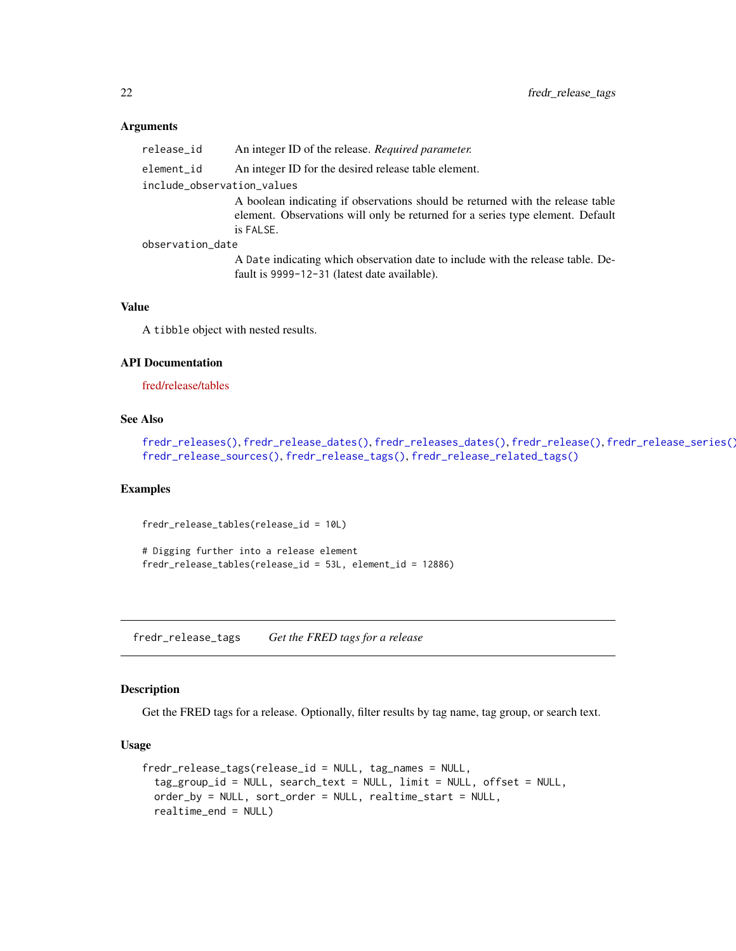#### Arguments

release\_id An integer ID of the release. *Required parameter.*

element\_id An integer ID for the desired release table element.

include\_observation\_values

A boolean indicating if observations should be returned with the release table element. Observations will only be returned for a series type element. Default is FALSE.

observation\_date

A Date indicating which observation date to include with the release table. Default is 9999-12-31 (latest date available).

#### Value

A tibble object with nested results.

#### API Documentation

[fred/release/tables](https://research.stlouisfed.org/docs/api/fred/release_tables.html)

#### See Also

[fredr\\_releases\(\)](#page-13-1), [fredr\\_release\\_dates\(\)](#page-15-1), [fredr\\_releases\\_dates\(\)](#page-14-1), [fredr\\_release\(\)](#page-12-1), [fredr\\_release\\_series\(\)](#page-18-1), [fredr\\_release\\_sources\(\)](#page-19-1), [fredr\\_release\\_tags\(\)](#page-21-1), [fredr\\_release\\_related\\_tags\(\)](#page-16-1)

#### Examples

fredr\_release\_tables(release\_id = 10L)

# Digging further into a release element fredr\_release\_tables(release\_id = 53L, element\_id = 12886)

<span id="page-21-1"></span>fredr\_release\_tags *Get the FRED tags for a release*

#### Description

Get the FRED tags for a release. Optionally, filter results by tag name, tag group, or search text.

#### Usage

```
fredr_release_tags(release_id = NULL, tag_names = NULL,
  tag_group_id = NULL, search_text = NULL, limit = NULL, offset = NULL,
  order_by = NULL, sort_order = NULL, realtime_start = NULL,
  realtime_end = NULL)
```
<span id="page-21-0"></span>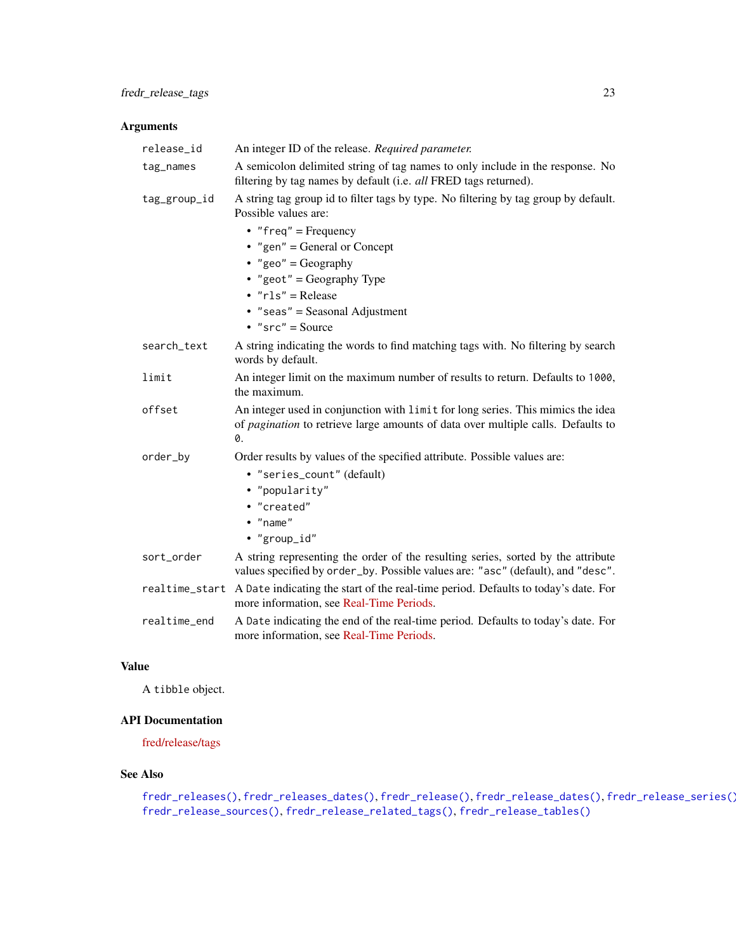## <span id="page-22-0"></span>Arguments

| release_id     | An integer ID of the release. Required parameter.                                                                                                                         |
|----------------|---------------------------------------------------------------------------------------------------------------------------------------------------------------------------|
| tag_names      | A semicolon delimited string of tag names to only include in the response. No<br>filtering by tag names by default (i.e. all FRED tags returned).                         |
| tag_group_id   | A string tag group id to filter tags by type. No filtering by tag group by default.<br>Possible values are:                                                               |
|                | • "freq" = Frequency                                                                                                                                                      |
|                | • "gen" = General or Concept                                                                                                                                              |
|                | • "geo" = Geography                                                                                                                                                       |
|                | • "geot" = Geography Type                                                                                                                                                 |
|                | $\cdot$ " $rls$ " = Release                                                                                                                                               |
|                | $\bullet$ "seas" = Seasonal Adjustment                                                                                                                                    |
|                | • " $src" = Source$                                                                                                                                                       |
| search_text    | A string indicating the words to find matching tags with. No filtering by search<br>words by default.                                                                     |
| limit          | An integer limit on the maximum number of results to return. Defaults to 1000,<br>the maximum.                                                                            |
| offset         | An integer used in conjunction with limit for long series. This mimics the idea<br>of pagination to retrieve large amounts of data over multiple calls. Defaults to<br>0. |
| order_by       | Order results by values of the specified attribute. Possible values are:                                                                                                  |
|                | • "series_count" (default)                                                                                                                                                |
|                | • "popularity"                                                                                                                                                            |
|                | • "created"                                                                                                                                                               |
|                | $\bullet$ "name"                                                                                                                                                          |
|                | • "group_id"                                                                                                                                                              |
| sort_order     | A string representing the order of the resulting series, sorted by the attribute<br>values specified by order_by. Possible values are: "asc" (default), and "desc".       |
| realtime_start | A Date indicating the start of the real-time period. Defaults to today's date. For<br>more information, see Real-Time Periods.                                            |
| realtime_end   | A Date indicating the end of the real-time period. Defaults to today's date. For<br>more information, see Real-Time Periods.                                              |

## Value

A tibble object.

## API Documentation

[fred/release/tags](https://research.stlouisfed.org/docs/api/fred/release_tags.html)

## See Also

```
fredr_releases(), fredr_releases_dates(), fredr_release(), fredr_release_dates(), fredr_release_series(),
fredr_release_sources(), fredr_release_related_tags(), fredr_release_tables()
```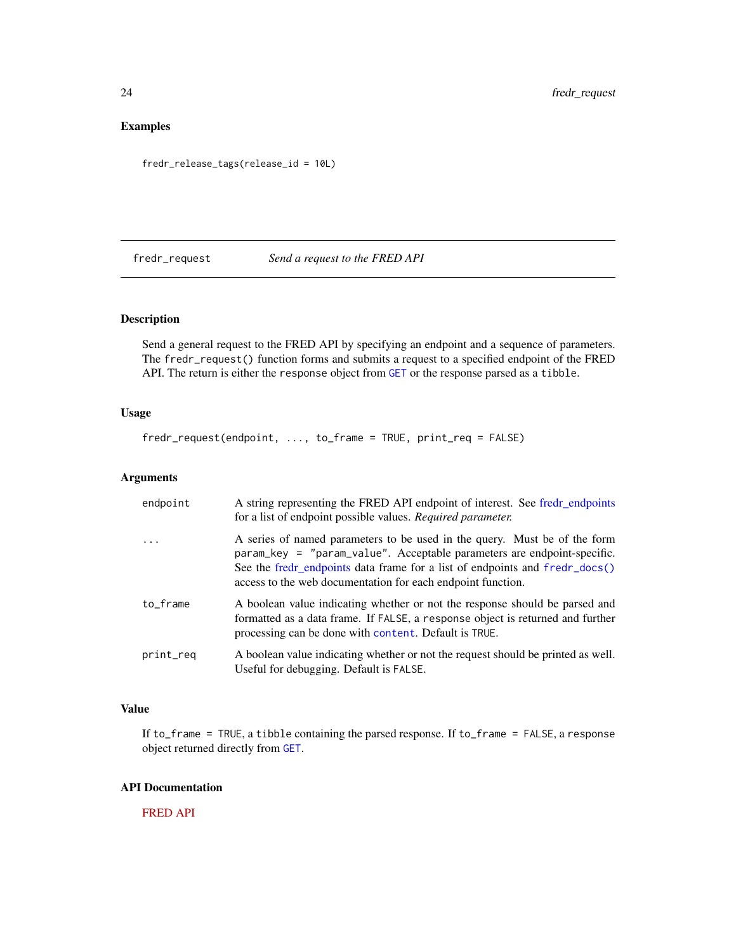## <span id="page-23-0"></span>Examples

fredr\_release\_tags(release\_id = 10L)

<span id="page-23-1"></span>

## fredr\_request *Send a request to the FRED API*

#### Description

Send a general request to the FRED API by specifying an endpoint and a sequence of parameters. The fredr\_request() function forms and submits a request to a specified endpoint of the FRED API. The return is either the response object from [GET](#page-0-0) or the response parsed as a tibble.

## Usage

fredr\_request(endpoint, ..., to\_frame = TRUE, print\_req = FALSE)

#### Arguments

| endpoint  | A string representing the FRED API endpoint of interest. See fredr_endpoints<br>for a list of endpoint possible values. Required parameter.                                                                                                                                                        |
|-----------|----------------------------------------------------------------------------------------------------------------------------------------------------------------------------------------------------------------------------------------------------------------------------------------------------|
| $\ddots$  | A series of named parameters to be used in the query. Must be of the form<br>param_key = "param_value". Acceptable parameters are endpoint-specific.<br>See the fredr_endpoints data frame for a list of endpoints and fredr_docs()<br>access to the web documentation for each endpoint function. |
| to_frame  | A boolean value indicating whether or not the response should be parsed and<br>formatted as a data frame. If FALSE, a response object is returned and further<br>processing can be done with content. Default is TRUE.                                                                             |
| print_req | A boolean value indicating whether or not the request should be printed as well.<br>Useful for debugging. Default is FALSE.                                                                                                                                                                        |

## Value

If to\_frame = TRUE, a tibble containing the parsed response. If to\_frame = FALSE, a response object returned directly from [GET](#page-0-0).

## API Documentation

[FRED API](https://api.stlouisfed.org/docs/fred/)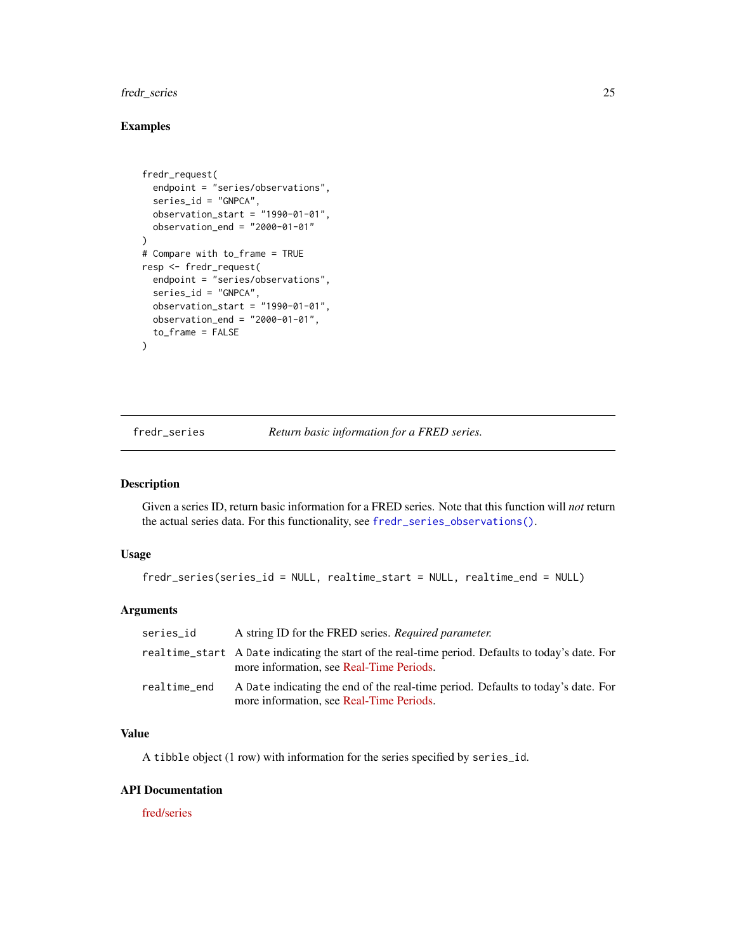## <span id="page-24-0"></span>fredr\_series 25

## Examples

```
fredr_request(
  endpoint = "series/observations",
  series_id = "GNPCA",
  observation_start = "1990-01-01",
  observation_end = "2000-01-01"
)
# Compare with to_frame = TRUE
resp <- fredr_request(
  endpoint = "series/observations",
  series_id = "GNPCA",
  observation_start = "1990-01-01",
  observation_end = "2000-01-01",
  to_frame = FALSE
)
```
<span id="page-24-1"></span>fredr\_series *Return basic information for a FRED series.*

#### Description

Given a series ID, return basic information for a FRED series. Note that this function will *not* return the actual series data. For this functionality, see [fredr\\_series\\_observations\(\)](#page-26-1).

#### Usage

```
fredr_series(series_id = NULL, realtime_start = NULL, realtime_end = NULL)
```
#### Arguments

| series id    | A string ID for the FRED series. Required parameter.                                                                                          |
|--------------|-----------------------------------------------------------------------------------------------------------------------------------------------|
|              | realtime_start A Date indicating the start of the real-time period. Defaults to today's date. For<br>more information, see Real-Time Periods. |
| realtime_end | A Date indicating the end of the real-time period. Defaults to today's date. For<br>more information, see Real-Time Periods.                  |

#### Value

A tibble object (1 row) with information for the series specified by series\_id.

#### API Documentation

[fred/series](https://research.stlouisfed.org/docs/api/fred/series.html)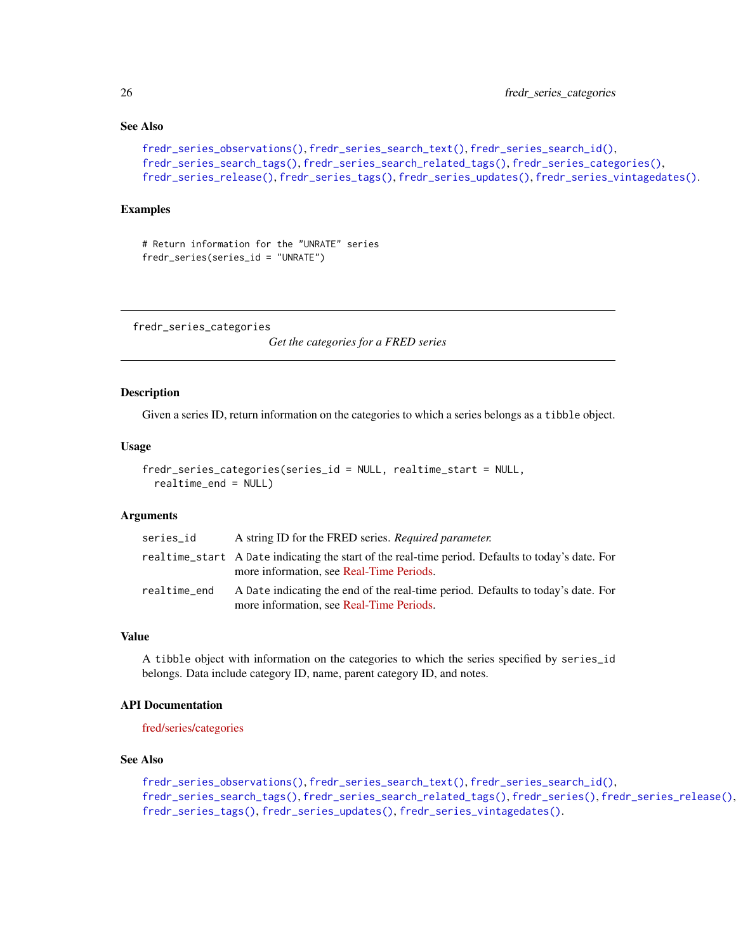## See Also

```
fredr_series_observations(), fredr_series_search_text(), fredr_series_search_id(),
fredr_series_search_tags(), fredr_series_search_related_tags(), fredr_series_categories(),
fredr_series_release(), fredr_series_tags(), fredr_series_updates(), fredr_series_vintagedates().
```
#### Examples

```
# Return information for the "UNRATE" series
fredr_series(series_id = "UNRATE")
```
<span id="page-25-1"></span>fredr\_series\_categories

*Get the categories for a FRED series*

#### Description

Given a series ID, return information on the categories to which a series belongs as a tibble object.

#### Usage

```
fredr_series_categories(series_id = NULL, realtime_start = NULL,
  realtime_end = NULL)
```
#### Arguments

| series_id    | A string ID for the FRED series. Required parameter.                                                                                          |
|--------------|-----------------------------------------------------------------------------------------------------------------------------------------------|
|              | realtime_start A Date indicating the start of the real-time period. Defaults to today's date. For<br>more information, see Real-Time Periods. |
| realtime_end | A Date indicating the end of the real-time period. Defaults to today's date. For<br>more information, see Real-Time Periods.                  |

#### Value

A tibble object with information on the categories to which the series specified by series\_id belongs. Data include category ID, name, parent category ID, and notes.

#### API Documentation

[fred/series/categories](https://research.stlouisfed.org/docs/api/fred/series_categories.html)

## See Also

```
fredr_series_observations(), fredr_series_search_text(), fredr_series_search_id(),
fredr_series_search_tags(), fredr_series_search_related_tags(), fredr_series(), fredr_series_release(),
fredr_series_tags(), fredr_series_updates(), fredr_series_vintagedates().
```
<span id="page-25-0"></span>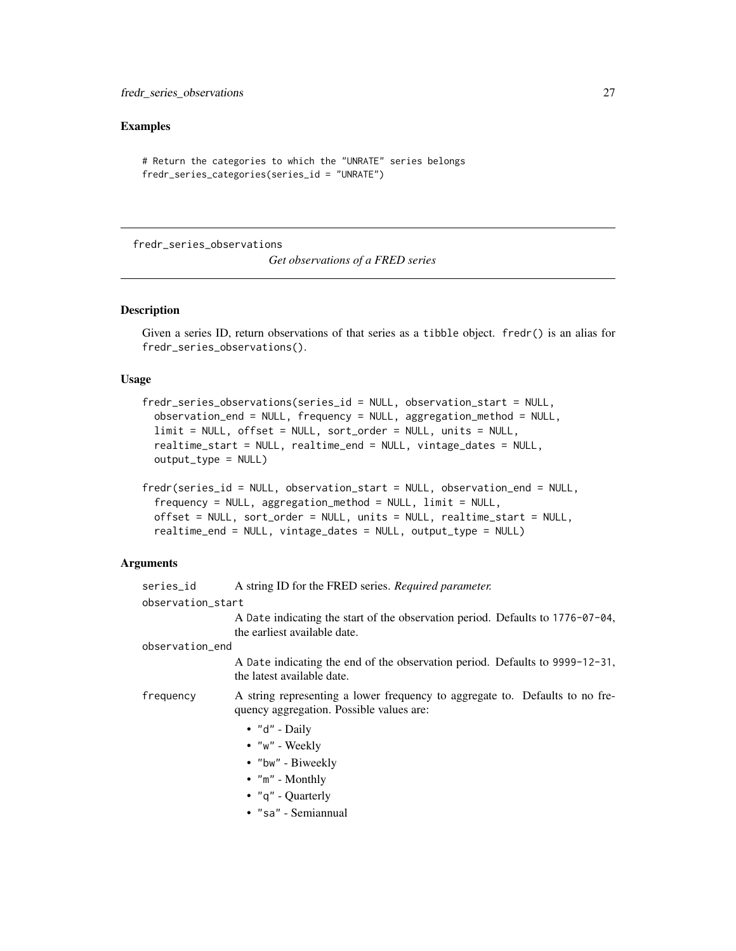#### <span id="page-26-0"></span>Examples

```
# Return the categories to which the "UNRATE" series belongs
fredr_series_categories(series_id = "UNRATE")
```
<span id="page-26-1"></span>fredr\_series\_observations

*Get observations of a FRED series*

## Description

Given a series ID, return observations of that series as a tibble object. fredr() is an alias for fredr\_series\_observations().

#### Usage

```
fredr_series_observations(series_id = NULL, observation_start = NULL,
 observation_end = NULL, frequency = NULL, aggregation_method = NULL,
  limit = NULL, offset = NULL, sort_order = NULL, units = NULL,
  realtime_start = NULL, realtime_end = NULL, vintage_dates = NULL,
 output_type = NULL)
```

```
fredr(series_id = NULL, observation_start = NULL, observation_end = NULL,
  frequency = NULL, aggregation_method = NULL, limit = NULL,
 offset = NULL, sort_order = NULL, units = NULL, realtime_start = NULL,
  realtime_end = NULL, vintage_dates = NULL, output_type = NULL)
```

| series_id         | A string ID for the FRED series. Required parameter.                                                                     |
|-------------------|--------------------------------------------------------------------------------------------------------------------------|
| observation_start |                                                                                                                          |
|                   | A Date indicating the start of the observation period. Defaults to $1776 - 07 - 04$ ,<br>the earliest available date.    |
| observation_end   |                                                                                                                          |
|                   | A Date indicating the end of the observation period. Defaults to 9999-12-31,<br>the latest available date.               |
| frequency         | A string representing a lower frequency to aggregate to. Defaults to no fre-<br>quency aggregation. Possible values are: |
|                   | $\bullet$ "d" - Daily                                                                                                    |
|                   | $\bullet$ " $w$ " - Weekly                                                                                               |
|                   | • "bw" - Biweekly                                                                                                        |
|                   | $\bullet$ "m" - Monthly                                                                                                  |
|                   | • $"q"$ - Quarterly                                                                                                      |
|                   | $\bullet$ "sa" - Semiannual                                                                                              |
|                   |                                                                                                                          |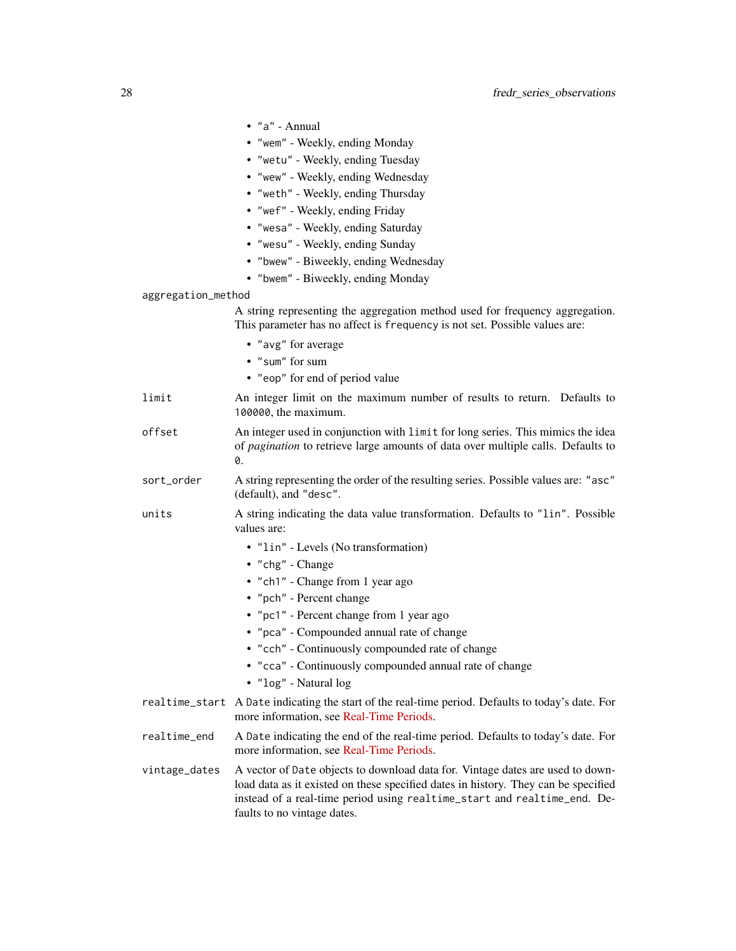|                    | $\bullet$ "a" - Annual                                                                                                                                                                                                                                                          |
|--------------------|---------------------------------------------------------------------------------------------------------------------------------------------------------------------------------------------------------------------------------------------------------------------------------|
|                    | • "wem" - Weekly, ending Monday                                                                                                                                                                                                                                                 |
|                    | • "wetu" - Weekly, ending Tuesday                                                                                                                                                                                                                                               |
|                    | • "wew" - Weekly, ending Wednesday                                                                                                                                                                                                                                              |
|                    | • "weth" - Weekly, ending Thursday                                                                                                                                                                                                                                              |
|                    | • "wef" - Weekly, ending Friday                                                                                                                                                                                                                                                 |
|                    | • "wesa" - Weekly, ending Saturday                                                                                                                                                                                                                                              |
|                    | • "wesu" - Weekly, ending Sunday                                                                                                                                                                                                                                                |
|                    | • "bwew" - Biweekly, ending Wednesday                                                                                                                                                                                                                                           |
|                    | • "bwem" - Biweekly, ending Monday                                                                                                                                                                                                                                              |
| aggregation_method |                                                                                                                                                                                                                                                                                 |
|                    | A string representing the aggregation method used for frequency aggregation.<br>This parameter has no affect is frequency is not set. Possible values are:                                                                                                                      |
|                    | • "avg" for average                                                                                                                                                                                                                                                             |
|                    | • "sum" for sum                                                                                                                                                                                                                                                                 |
|                    | • "eop" for end of period value                                                                                                                                                                                                                                                 |
| limit              | An integer limit on the maximum number of results to return. Defaults to<br>100000, the maximum.                                                                                                                                                                                |
| offset             | An integer used in conjunction with limit for long series. This mimics the idea<br>of pagination to retrieve large amounts of data over multiple calls. Defaults to<br>0.                                                                                                       |
| sort_order         | A string representing the order of the resulting series. Possible values are: "asc"<br>(default), and "desc".                                                                                                                                                                   |
| units              | A string indicating the data value transformation. Defaults to "lin". Possible<br>values are:                                                                                                                                                                                   |
|                    | • "lin" - Levels (No transformation)                                                                                                                                                                                                                                            |
|                    | • "chg" - Change                                                                                                                                                                                                                                                                |
|                    | • "ch1" - Change from 1 year ago                                                                                                                                                                                                                                                |
|                    | • "pch" - Percent change                                                                                                                                                                                                                                                        |
|                    | • "pc1" - Percent change from 1 year ago                                                                                                                                                                                                                                        |
|                    | • "pca" - Compounded annual rate of change                                                                                                                                                                                                                                      |
|                    | • "cch" - Continuously compounded rate of change                                                                                                                                                                                                                                |
|                    | • "cca" - Continuously compounded annual rate of change<br>· "log" - Natural log                                                                                                                                                                                                |
|                    | realtime_start A Date indicating the start of the real-time period. Defaults to today's date. For<br>more information, see Real-Time Periods.                                                                                                                                   |
| realtime_end       | A Date indicating the end of the real-time period. Defaults to today's date. For<br>more information, see Real-Time Periods.                                                                                                                                                    |
| vintage_dates      | A vector of Date objects to download data for. Vintage dates are used to down-<br>load data as it existed on these specified dates in history. They can be specified<br>instead of a real-time period using realtime_start and realtime_end. De-<br>faults to no vintage dates. |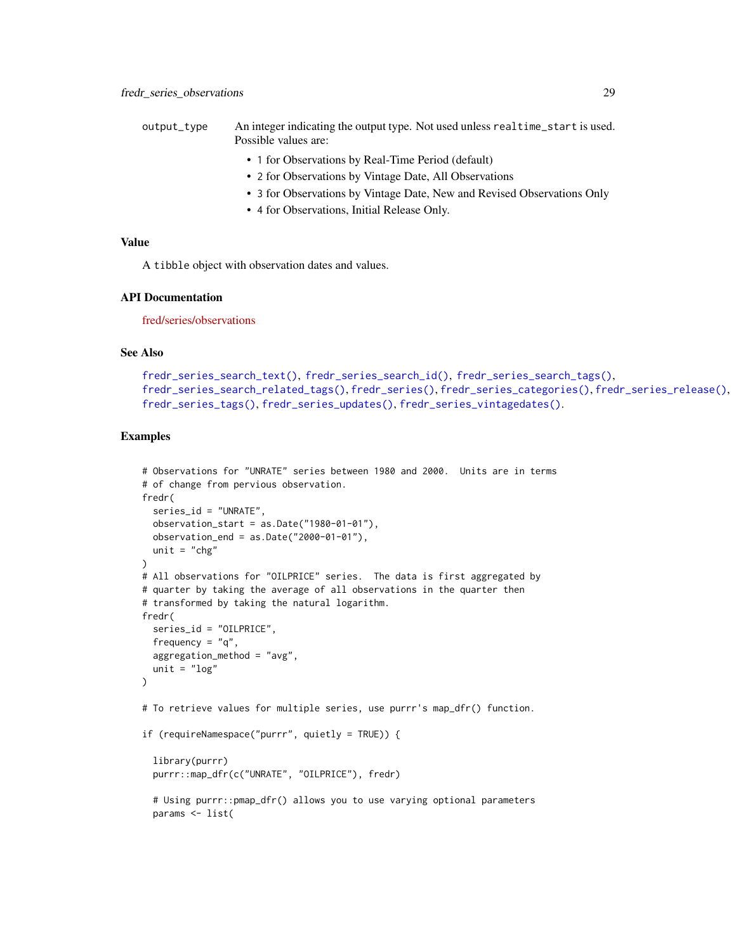- <span id="page-28-0"></span>output\_type An integer indicating the output type. Not used unless realtime\_start is used. Possible values are:
	- 1 for Observations by Real-Time Period (default)
	- 2 for Observations by Vintage Date, All Observations
	- 3 for Observations by Vintage Date, New and Revised Observations Only
	- 4 for Observations, Initial Release Only.

A tibble object with observation dates and values.

#### API Documentation

[fred/series/observations](https://research.stlouisfed.org/docs/api/fred/series_observations.html)

## See Also

```
fredr_series_search_text(), fredr_series_search_id(), fredr_series_search_tags(),
fredr_series_search_related_tags(), fredr_series(), fredr_series_categories(), fredr_series_release(),
fredr_series_tags(), fredr_series_updates(), fredr_series_vintagedates().
```
#### Examples

```
# Observations for "UNRATE" series between 1980 and 2000. Units are in terms
# of change from pervious observation.
fredr(
  series_id = "UNRATE",
  observation\_start = as.DataFrame("1980-01-01"),
  observation_end = as.Date("2000-01-01"),
  unit = "chg")
# All observations for "OILPRICE" series. The data is first aggregated by
# quarter by taking the average of all observations in the quarter then
# transformed by taking the natural logarithm.
fredr(
  series_id = "OILPRICE",
  frequency = "q",aggregation_method = "avg",
  unit = "log")
# To retrieve values for multiple series, use purrr's map_dfr() function.
if (requireNamespace("purrr", quietly = TRUE)) {
  library(purrr)
  purrr::map_dfr(c("UNRATE", "OILPRICE"), fredr)
  # Using purrr::pmap_dfr() allows you to use varying optional parameters
  params <- list(
```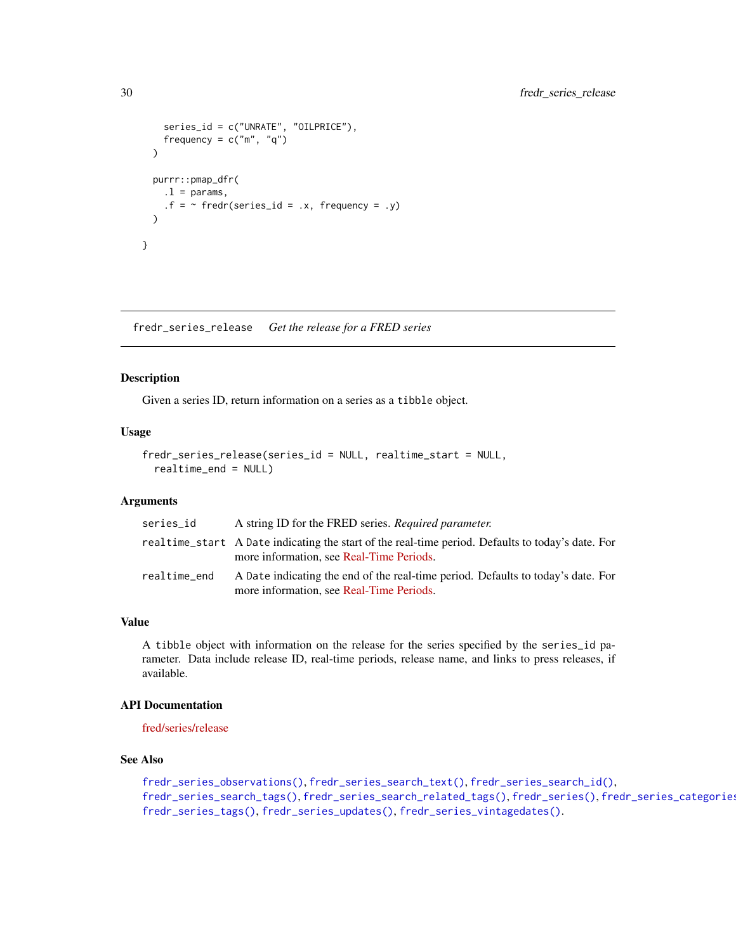```
series_id = c("UNRATE", "OILPRICE"),
    frequency = c("m", "q"))
  purrr::pmap_dfr(
    .1 = \text{params},
    .f = ~ fredr(series_id = .x, frequency = .y)
  \mathcal{L}}
```
<span id="page-29-1"></span>fredr\_series\_release *Get the release for a FRED series*

#### Description

Given a series ID, return information on a series as a tibble object.

#### Usage

```
fredr_series_release(series_id = NULL, realtime_start = NULL,
 realtime_end = NULL)
```
## Arguments

| series_id    | A string ID for the FRED series. Required parameter.                                                                                          |
|--------------|-----------------------------------------------------------------------------------------------------------------------------------------------|
|              | realtime_start A Date indicating the start of the real-time period. Defaults to today's date. For<br>more information, see Real-Time Periods. |
| realtime_end | A Date indicating the end of the real-time period. Defaults to today's date. For<br>more information, see Real-Time Periods.                  |

## Value

A tibble object with information on the release for the series specified by the series\_id parameter. Data include release ID, real-time periods, release name, and links to press releases, if available.

## API Documentation

[fred/series/release](https://research.stlouisfed.org/docs/api/fred/series_release.html)

## See Also

```
fredr_series_observations(), fredr_series_search_text(), fredr_series_search_id(),
fredr_series_search_tags(), fredr_series_search_related_tags(), fredr_series(), fredr_series_categories(),
fredr_series_tags(), fredr_series_updates(), fredr_series_vintagedates().
```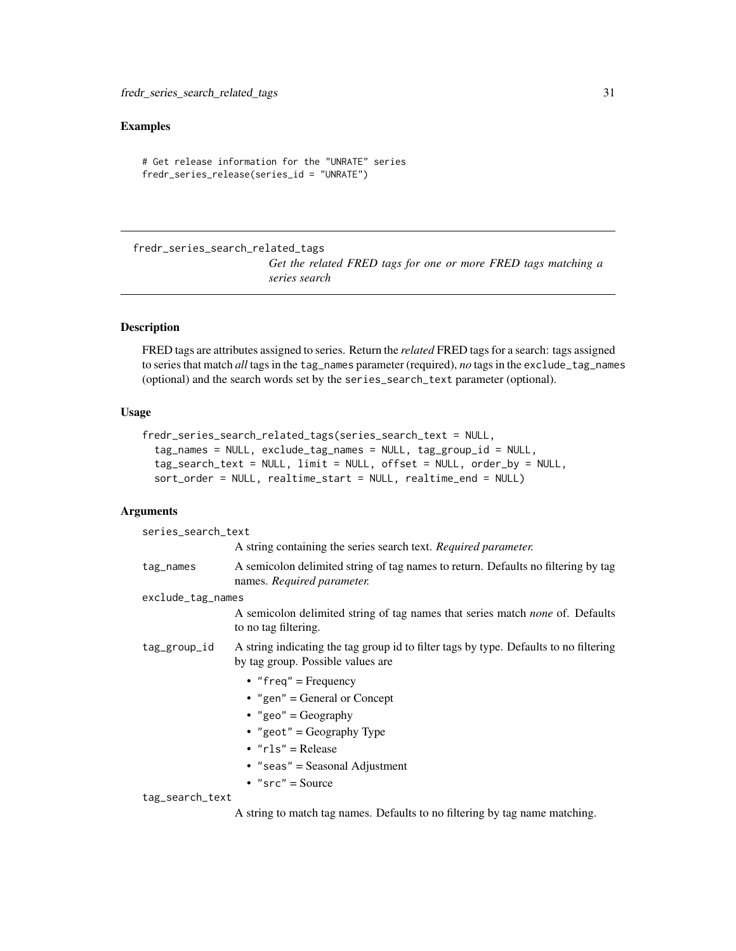## <span id="page-30-0"></span>Examples

```
# Get release information for the "UNRATE" series
fredr_series_release(series_id = "UNRATE")
```
<span id="page-30-1"></span>fredr\_series\_search\_related\_tags

*Get the related FRED tags for one or more FRED tags matching a series search*

#### Description

FRED tags are attributes assigned to series. Return the *related* FRED tags for a search: tags assigned to series that match *all* tags in the tag\_names parameter (required), *no* tags in the exclude\_tag\_names (optional) and the search words set by the series\_search\_text parameter (optional).

#### Usage

```
fredr_series_search_related_tags(series_search_text = NULL,
  tag_names = NULL, exclude_tag_names = NULL, tag_group_id = NULL,
  tag_search_text = NULL, limit = NULL, offset = NULL, order_by = NULL,
  sort_order = NULL, realtime_start = NULL, realtime_end = NULL)
```

| series_search_text |                                                                                                                            |  |
|--------------------|----------------------------------------------------------------------------------------------------------------------------|--|
|                    | A string containing the series search text. Required parameter.                                                            |  |
| tag_names          | A semicolon delimited string of tag names to return. Defaults no filtering by tag<br>names. Required parameter.            |  |
| exclude_tag_names  |                                                                                                                            |  |
|                    | A semicolon delimited string of tag names that series match none of. Defaults<br>to no tag filtering.                      |  |
| tag_group_id       | A string indicating the tag group id to filter tags by type. Defaults to no filtering<br>by tag group. Possible values are |  |
|                    | • "freq" = Frequency                                                                                                       |  |
|                    | • "gen" = General or Concept                                                                                               |  |
|                    | • "geo" = $Geography$                                                                                                      |  |
|                    | • "geot" = Geography Type                                                                                                  |  |
|                    | $\cdot$ "rls" = Release                                                                                                    |  |
|                    | • "seas" = Seasonal Adjustment                                                                                             |  |
|                    | • $"src" = Source$                                                                                                         |  |
| tag_search_text    |                                                                                                                            |  |
|                    | A string to match tag names. Defaults to no filtering by tag name matching.                                                |  |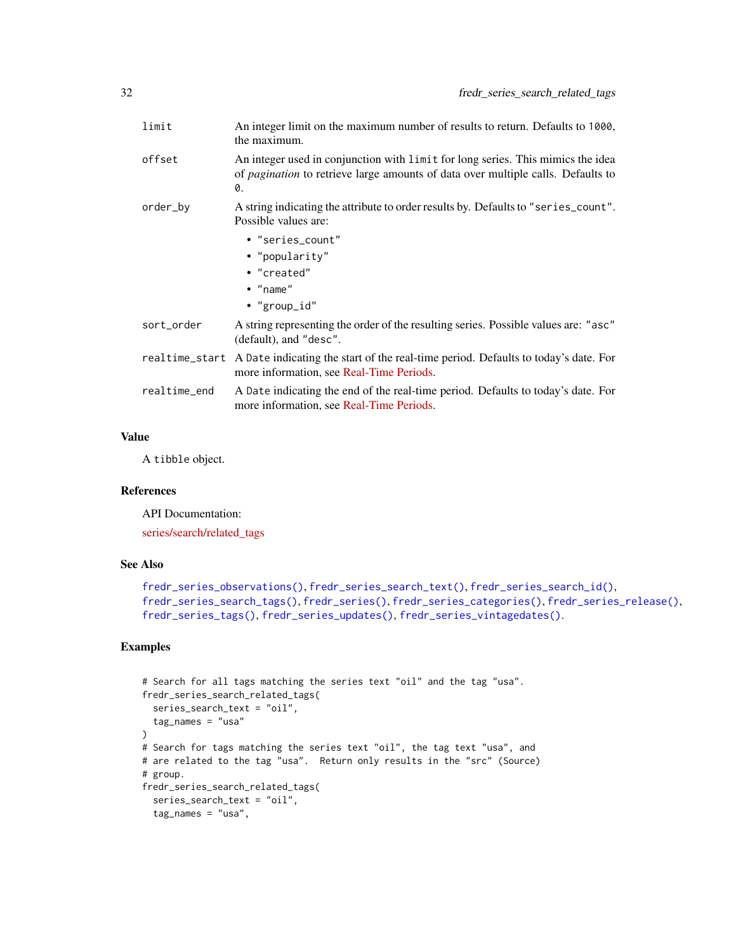<span id="page-31-0"></span>

| limit        | An integer limit on the maximum number of results to return. Defaults to 1000,<br>the maximum.                                                                                   |
|--------------|----------------------------------------------------------------------------------------------------------------------------------------------------------------------------------|
| offset       | An integer used in conjunction with limit for long series. This mimics the idea<br>of <i>pagination</i> to retrieve large amounts of data over multiple calls. Defaults to<br>0. |
| order_by     | A string indicating the attribute to order results by. Defaults to "series_count".<br>Possible values are:                                                                       |
|              | • "series count"                                                                                                                                                                 |
|              | • "popularity"                                                                                                                                                                   |
|              | • "created"                                                                                                                                                                      |
|              | $\bullet$ "name"                                                                                                                                                                 |
|              | • "group_id"                                                                                                                                                                     |
| sort_order   | A string representing the order of the resulting series. Possible values are: "asc"<br>(default), and "desc".                                                                    |
|              | realtime_start A Date indicating the start of the real-time period. Defaults to today's date. For<br>more information, see Real-Time Periods.                                    |
| realtime_end | A Date indicating the end of the real-time period. Defaults to today's date. For<br>more information, see Real-Time Periods.                                                     |
|              |                                                                                                                                                                                  |

A tibble object.

#### References

API Documentation:

[series/search/related\\_tags](https://research.stlouisfed.org/docs/api/fred/series_search_related_tags.html)

#### See Also

```
fredr_series_observations(), fredr_series_search_text(), fredr_series_search_id(),
fredr_series_search_tags(), fredr_series(), fredr_series_categories(), fredr_series_release(),
fredr_series_tags(), fredr_series_updates(), fredr_series_vintagedates().
```
## Examples

```
# Search for all tags matching the series text "oil" and the tag "usa".
fredr_series_search_related_tags(
  series_search_text = "oil",
  tag_names = "usa"\mathcal{L}# Search for tags matching the series text "oil", the tag text "usa", and
# are related to the tag "usa". Return only results in the "src" (Source)
# group.
fredr_series_search_related_tags(
 series_search_text = "oil",
 tag_names = "usa",
```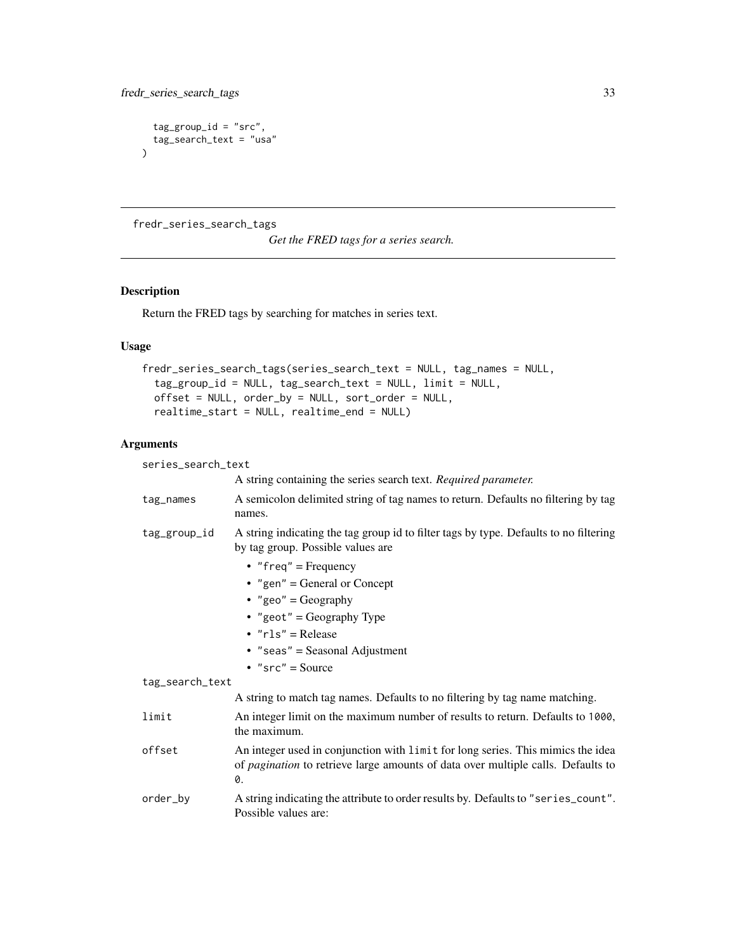```
tag\_group\_id = "src",tag_search_text = "usa"
)
```
<span id="page-32-1"></span>fredr\_series\_search\_tags

*Get the FRED tags for a series search.*

## Description

Return the FRED tags by searching for matches in series text.

## Usage

```
fredr_series_search_tags(series_search_text = NULL, tag_names = NULL,
  tag_group_id = NULL, tag_search_text = NULL, limit = NULL,
 offset = NULL, order_by = NULL, sort_order = NULL,
  realtime_start = NULL, realtime_end = NULL)
```

| series_search_text |                                                                                                                                                                                  |  |
|--------------------|----------------------------------------------------------------------------------------------------------------------------------------------------------------------------------|--|
|                    | A string containing the series search text. Required parameter.                                                                                                                  |  |
| tag_names          | A semicolon delimited string of tag names to return. Defaults no filtering by tag<br>names.                                                                                      |  |
| tag_group_id       | A string indicating the tag group id to filter tags by type. Defaults to no filtering<br>by tag group. Possible values are                                                       |  |
|                    | • "freq" = Frequency                                                                                                                                                             |  |
|                    | • "gen" = General or Concept                                                                                                                                                     |  |
|                    | • "geo" = Geography                                                                                                                                                              |  |
|                    | • "geot" = Geography Type                                                                                                                                                        |  |
|                    | $\cdot$ "rls" = Release                                                                                                                                                          |  |
|                    | $\bullet$ "seas" = Seasonal Adjustment                                                                                                                                           |  |
|                    | • $"src" = Source$                                                                                                                                                               |  |
| tag_search_text    |                                                                                                                                                                                  |  |
|                    | A string to match tag names. Defaults to no filtering by tag name matching.                                                                                                      |  |
| limit              | An integer limit on the maximum number of results to return. Defaults to 1000,<br>the maximum.                                                                                   |  |
| offset             | An integer used in conjunction with limit for long series. This mimics the idea<br>of <i>pagination</i> to retrieve large amounts of data over multiple calls. Defaults to<br>0. |  |
| order_by           | A string indicating the attribute to order results by. Defaults to "series_count".<br>Possible values are:                                                                       |  |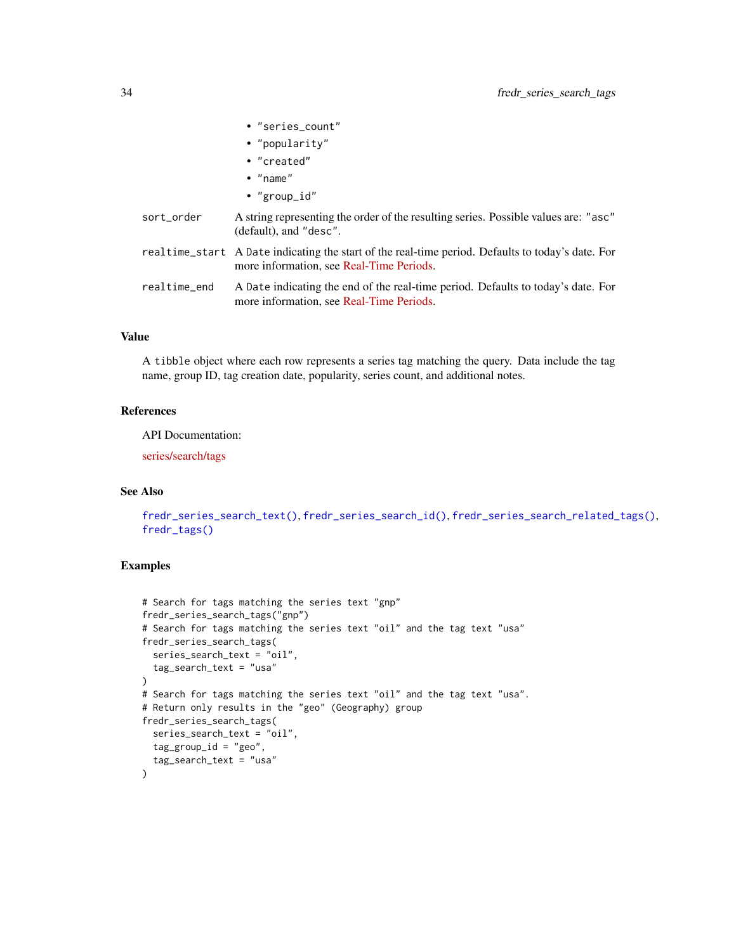<span id="page-33-0"></span>

|              | • "series_count"                                                                                                                              |
|--------------|-----------------------------------------------------------------------------------------------------------------------------------------------|
|              | • "popularity"                                                                                                                                |
|              | • "created"                                                                                                                                   |
|              | $\bullet$ "name"                                                                                                                              |
|              | • "group_id"                                                                                                                                  |
| sort_order   | A string representing the order of the resulting series. Possible values are: "asc"<br>$(default)$ , and "desc".                              |
|              | realtime_start A Date indicating the start of the real-time period. Defaults to today's date. For<br>more information, see Real-Time Periods. |
| realtime_end | A Date indicating the end of the real-time period. Defaults to today's date. For<br>more information, see Real-Time Periods.                  |
|              |                                                                                                                                               |

A tibble object where each row represents a series tag matching the query. Data include the tag name, group ID, tag creation date, popularity, series count, and additional notes.

## References

API Documentation:

[series/search/tags](https://research.stlouisfed.org/docs/api/fred/series_search_tags.html)

## See Also

```
fredr_series_search_text(), fredr_series_search_id(), fredr_series_search_related_tags(),
fredr_tags()
```
#### Examples

```
# Search for tags matching the series text "gnp"
fredr_series_search_tags("gnp")
# Search for tags matching the series text "oil" and the tag text "usa"
fredr_series_search_tags(
  series_search_text = "oil",
  tag_search_text = "usa"
)
# Search for tags matching the series text "oil" and the tag text "usa".
# Return only results in the "geo" (Geography) group
fredr_series_search_tags(
  series_search_text = "oil",
  tag_group_id = "geo",
  tag_search_text = "usa"
\lambda
```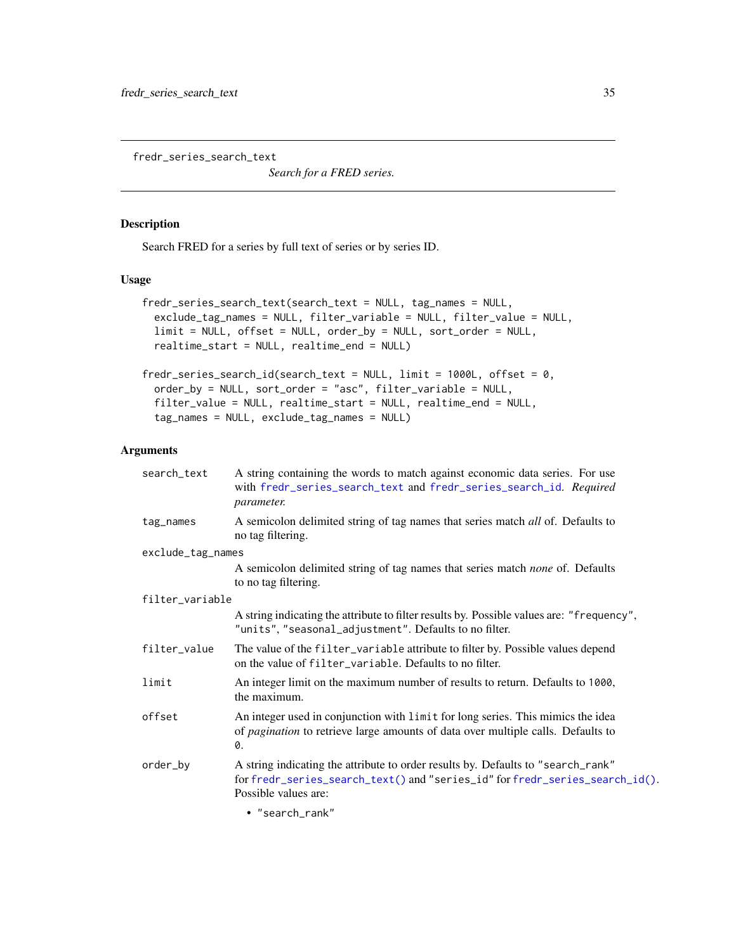<span id="page-34-1"></span><span id="page-34-0"></span>fredr\_series\_search\_text

*Search for a FRED series.*

## <span id="page-34-2"></span>Description

Search FRED for a series by full text of series or by series ID.

## Usage

```
fredr_series_search_text(search_text = NULL, tag_names = NULL,
  exclude_tag_names = NULL, filter_variable = NULL, filter_value = NULL,
  limit = NULL, offset = NULL, order_by = NULL, sort_order = NULL,
  realtime_start = NULL, realtime_end = NULL)
```

```
fredr_series_search_id(search_text = NULL, limit = 1000L, offset = 0,
 order_by = NULL, sort_order = "asc", filter_variable = NULL,
  filter_value = NULL, realtime_start = NULL, realtime_end = NULL,
  tag_names = NULL, exclude_tag_names = NULL)
```
#### Arguments

| search_text       | A string containing the words to match against economic data series. For use<br>with fredr_series_search_text and fredr_series_search_id. Required<br>parameter.                         |
|-------------------|------------------------------------------------------------------------------------------------------------------------------------------------------------------------------------------|
| tag_names         | A semicolon delimited string of tag names that series match all of. Defaults to<br>no tag filtering.                                                                                     |
| exclude_tag_names |                                                                                                                                                                                          |
|                   | A semicolon delimited string of tag names that series match none of. Defaults<br>to no tag filtering.                                                                                    |
| filter_variable   |                                                                                                                                                                                          |
|                   | A string indicating the attribute to filter results by. Possible values are: "frequency",<br>"units", "seasonal_adjustment". Defaults to no filter.                                      |
| filter_value      | The value of the filter_variable attribute to filter by. Possible values depend<br>on the value of filter_variable. Defaults to no filter.                                               |
| limit             | An integer limit on the maximum number of results to return. Defaults to 1000,<br>the maximum.                                                                                           |
| offset            | An integer used in conjunction with limit for long series. This mimics the idea<br>of <i>pagination</i> to retrieve large amounts of data over multiple calls. Defaults to<br>0.         |
| order_by          | A string indicating the attribute to order results by. Defaults to "search_rank"<br>for fredr_series_search_text() and "series_id" for fredr_series_search_id().<br>Possible values are: |
|                   |                                                                                                                                                                                          |

• "search\_rank"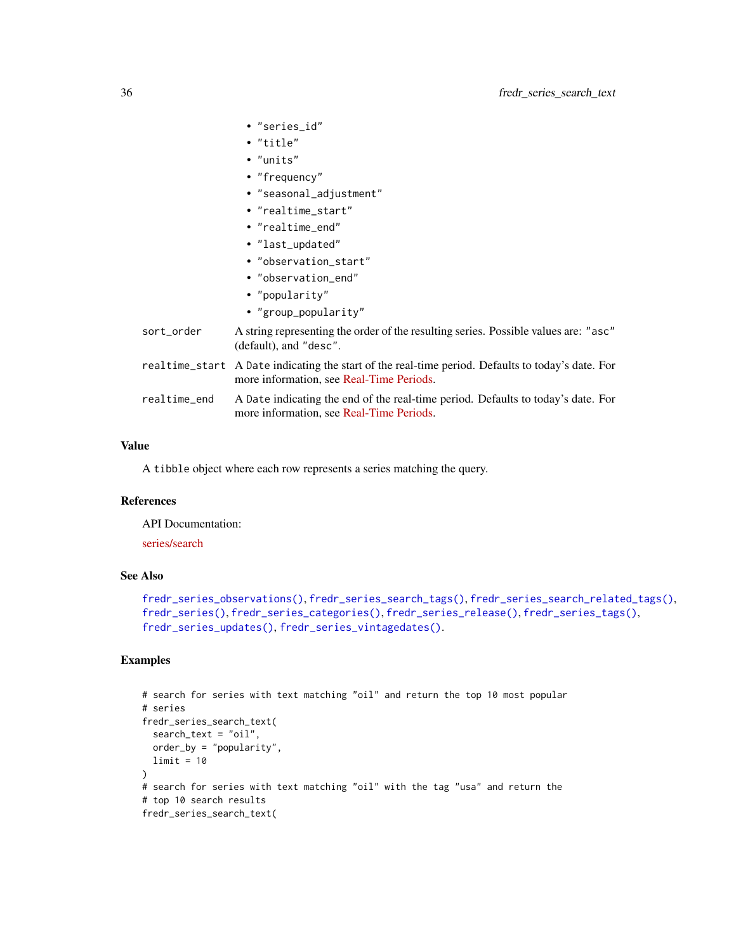<span id="page-35-0"></span>

|              | • "series_id"                                                                                                                                 |
|--------------|-----------------------------------------------------------------------------------------------------------------------------------------------|
|              | $\bullet$ "title"                                                                                                                             |
|              | $\bullet$ "units"                                                                                                                             |
|              | $\bullet$ "frequency"                                                                                                                         |
|              | · "seasonal_adjustment"                                                                                                                       |
|              | • "realtime_start"                                                                                                                            |
|              | • "realtime end"                                                                                                                              |
|              | • "last_updated"                                                                                                                              |
|              | • "observation start"                                                                                                                         |
|              | • "observation end"                                                                                                                           |
|              | • "popularity"                                                                                                                                |
|              | • "group_popularity"                                                                                                                          |
| sort_order   | A string representing the order of the resulting series. Possible values are: "asc"<br>(default), and "desc".                                 |
|              | realtime_start A Date indicating the start of the real-time period. Defaults to today's date. For<br>more information, see Real-Time Periods. |
| realtime_end | A Date indicating the end of the real-time period. Defaults to today's date. For<br>more information, see Real-Time Periods.                  |
|              |                                                                                                                                               |

A tibble object where each row represents a series matching the query.

## References

API Documentation:

## [series/search](https://research.stlouisfed.org/docs/api/fred/series_search.html)

#### See Also

```
fredr_series_observations(), fredr_series_search_tags(), fredr_series_search_related_tags(),
fredr_series(), fredr_series_categories(), fredr_series_release(), fredr_series_tags(),
fredr_series_updates(), fredr_series_vintagedates().
```
## Examples

```
# search for series with text matching "oil" and return the top 10 most popular
# series
fredr_series_search_text(
  search_text = "oil",
  order_by = "popularity",
 limit = 10
\lambda# search for series with text matching "oil" with the tag "usa" and return the
# top 10 search results
fredr_series_search_text(
```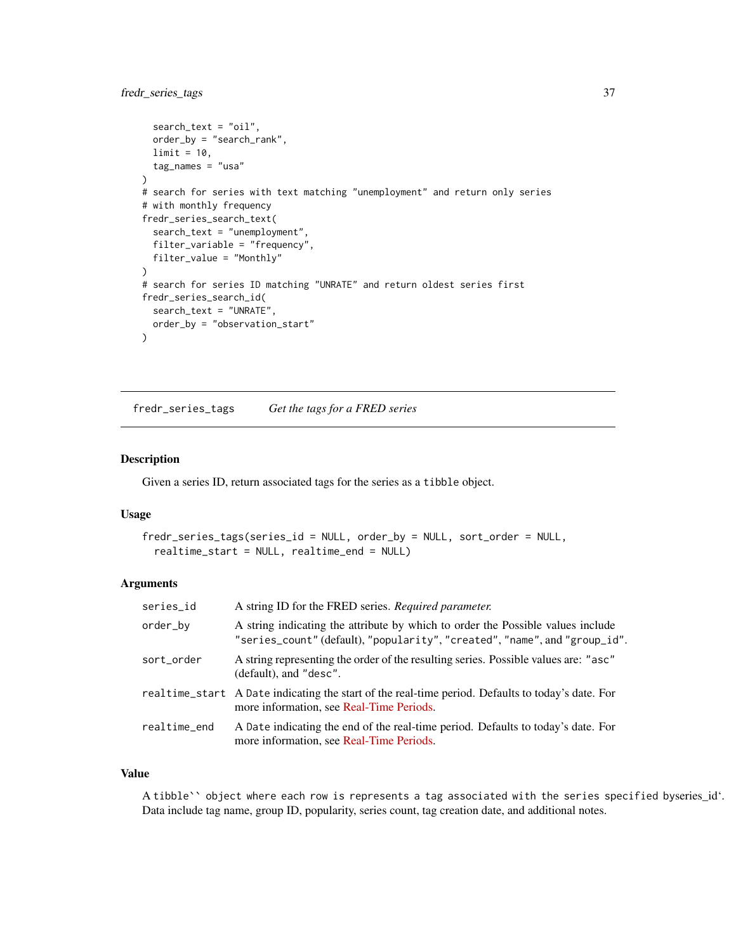## <span id="page-36-0"></span>fredr\_series\_tags 37

```
search_text = "oil",
  order_by = "search_rank",
  limit = 10,
  tag_names = "usa"
\mathcal{L}# search for series with text matching "unemployment" and return only series
# with monthly frequency
fredr_series_search_text(
  search_text = "unemployment",
  filter_variable = "frequency",
  filter_value = "Monthly"
\lambda# search for series ID matching "UNRATE" and return oldest series first
fredr_series_search_id(
  search_text = "UNRATE",
  order_by = "observation_start"
)
```
<span id="page-36-1"></span>fredr\_series\_tags *Get the tags for a FRED series*

#### Description

Given a series ID, return associated tags for the series as a tibble object.

#### Usage

```
fredr_series_tags(series_id = NULL, order_by = NULL, sort_order = NULL,
  realtime_start = NULL, realtime_end = NULL)
```
#### **Arguments**

| series_id    | A string ID for the FRED series. Required parameter.                                                                                                          |
|--------------|---------------------------------------------------------------------------------------------------------------------------------------------------------------|
| order_by     | A string indicating the attribute by which to order the Possible values include<br>"series_count" (default), "popularity", "created", "name", and "group_id". |
| sort_order   | A string representing the order of the resulting series. Possible values are: "asc"<br>(default), and "desc".                                                 |
|              | realtime_start A Date indicating the start of the real-time period. Defaults to today's date. For<br>more information, see Real-Time Periods.                 |
| realtime_end | A Date indicating the end of the real-time period. Defaults to today's date. For<br>more information, see Real-Time Periods.                                  |

#### Value

A tibble`` object where each row is represents a tag associated with the series specified byseries\_id'. Data include tag name, group ID, popularity, series count, tag creation date, and additional notes.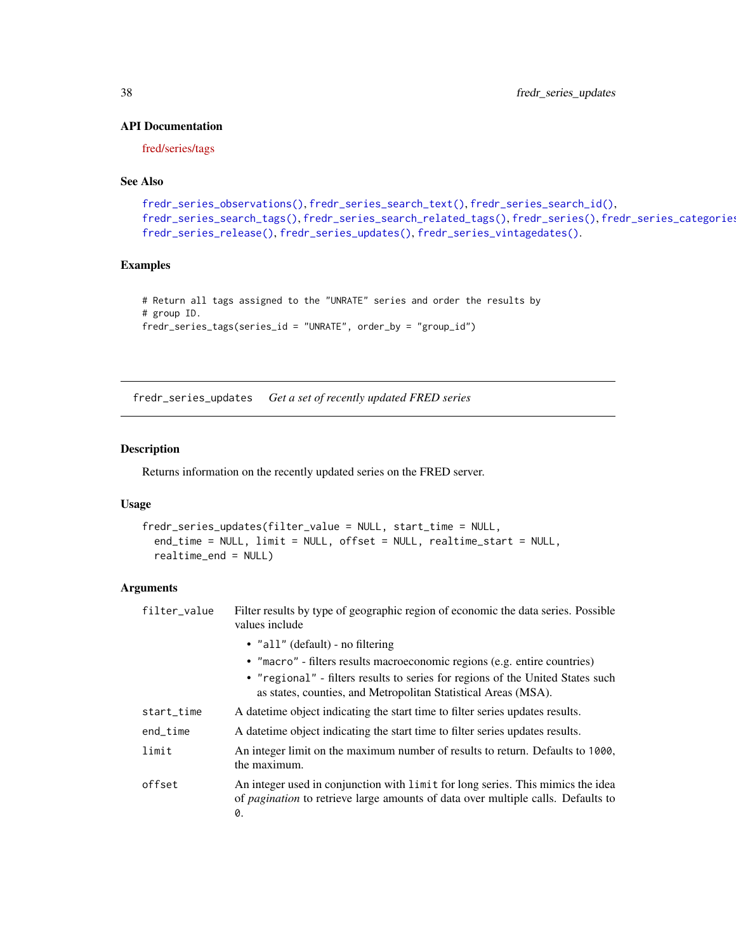## <span id="page-37-0"></span>API Documentation

[fred/series/tags](https://research.stlouisfed.org/docs/api/fred/series_tags.html)

## See Also

```
fredr_series_observations(), fredr_series_search_text(), fredr_series_search_id(),
fredr_series_search_tags(), fredr_series_search_related_tags(), fredr_series(), fredr_series_categories(),
fredr_series_release(), fredr_series_updates(), fredr_series_vintagedates().
```
## Examples

```
# Return all tags assigned to the "UNRATE" series and order the results by
# group ID.
fredr_series_tags(series_id = "UNRATE", order_by = "group_id")
```
<span id="page-37-1"></span>fredr\_series\_updates *Get a set of recently updated FRED series*

## Description

Returns information on the recently updated series on the FRED server.

#### Usage

```
fredr_series_updates(filter_value = NULL, start_time = NULL,
  end_time = NULL, limit = NULL, offset = NULL, realtime_start = NULL,
  realtime_end = NULL)
```

| filter_value | Filter results by type of geographic region of economic the data series. Possible<br>values include                                                                              |
|--------------|----------------------------------------------------------------------------------------------------------------------------------------------------------------------------------|
|              | • "all" (default) - no filtering                                                                                                                                                 |
|              | • "macro" - filters results macroeconomic regions (e.g. entire countries)                                                                                                        |
|              | • "regional" - filters results to series for regions of the United States such<br>as states, counties, and Metropolitan Statistical Areas (MSA).                                 |
| start_time   | A date time object indicating the start time to filter series updates results.                                                                                                   |
| end_time     | A date time object indicating the start time to filter series updates results.                                                                                                   |
| limit        | An integer limit on the maximum number of results to return. Defaults to 1000,<br>the maximum.                                                                                   |
| offset       | An integer used in conjunction with limit for long series. This mimics the idea<br>of <i>pagination</i> to retrieve large amounts of data over multiple calls. Defaults to<br>0. |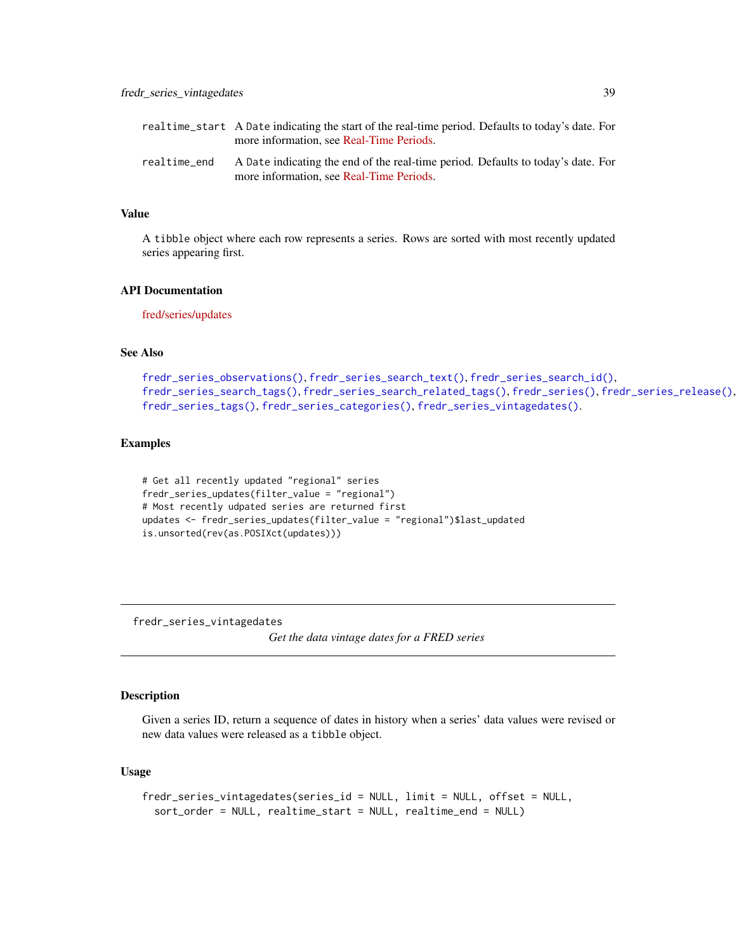<span id="page-38-0"></span>

|              | realtime_start A Date indicating the start of the real-time period. Defaults to today's date. For<br>more information, see Real-Time Periods. |
|--------------|-----------------------------------------------------------------------------------------------------------------------------------------------|
| realtime end | A Date indicating the end of the real-time period. Defaults to today's date. For<br>more information, see Real-Time Periods.                  |

A tibble object where each row represents a series. Rows are sorted with most recently updated series appearing first.

## API Documentation

[fred/series/updates](https://research.stlouisfed.org/docs/api/fred/series_updates.html)

## See Also

```
fredr_series_observations(), fredr_series_search_text(), fredr_series_search_id(),
fredr_series_search_tags(), fredr_series_search_related_tags(), fredr_series(), fredr_series_release(),
fredr_series_tags(), fredr_series_categories(), fredr_series_vintagedates().
```
#### Examples

```
# Get all recently updated "regional" series
fredr_series_updates(filter_value = "regional")
# Most recently udpated series are returned first
updates <- fredr_series_updates(filter_value = "regional")$last_updated
is.unsorted(rev(as.POSIXct(updates)))
```
<span id="page-38-1"></span>fredr\_series\_vintagedates

*Get the data vintage dates for a FRED series*

## Description

Given a series ID, return a sequence of dates in history when a series' data values were revised or new data values were released as a tibble object.

#### Usage

```
fredr_series_vintagedates(series_id = NULL, limit = NULL, offset = NULL,
  sort_order = NULL, realtime_start = NULL, realtime_end = NULL)
```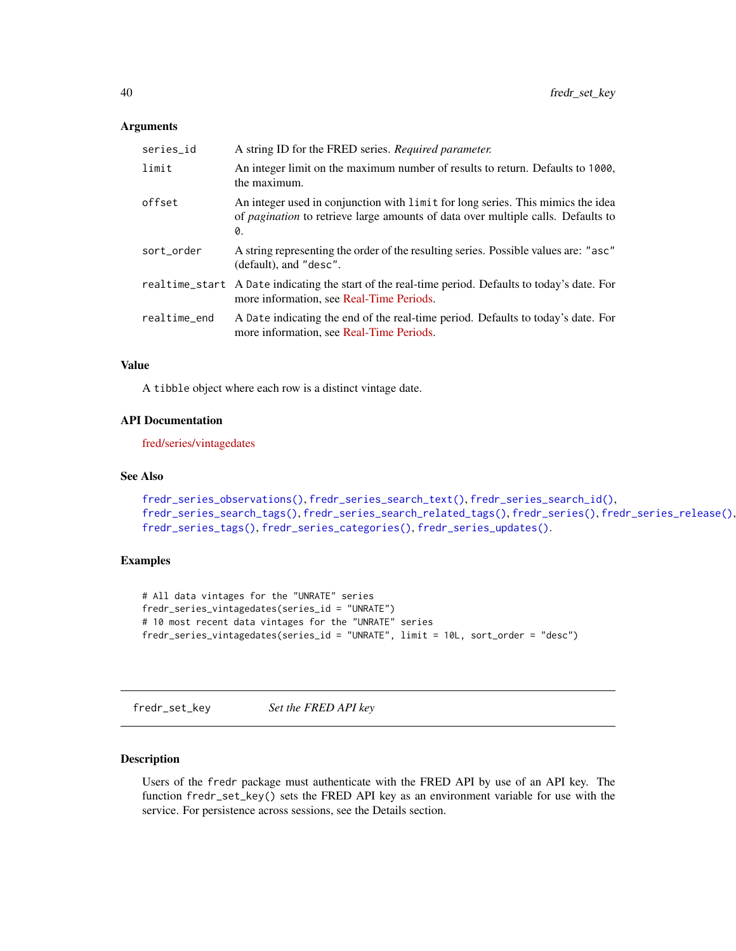#### <span id="page-39-0"></span>**Arguments**

| series_id    | A string ID for the FRED series. Required parameter.                                                                                                                             |
|--------------|----------------------------------------------------------------------------------------------------------------------------------------------------------------------------------|
| limit        | An integer limit on the maximum number of results to return. Defaults to 1000,<br>the maximum.                                                                                   |
| offset       | An integer used in conjunction with limit for long series. This mimics the idea<br>of <i>pagination</i> to retrieve large amounts of data over multiple calls. Defaults to<br>0. |
| sort_order   | A string representing the order of the resulting series. Possible values are: "asc"<br>(default), and "desc".                                                                    |
|              | real time_start A Date indicating the start of the real-time period. Defaults to today's date. For<br>more information, see Real-Time Periods.                                   |
| realtime_end | A Date indicating the end of the real-time period. Defaults to today's date. For<br>more information, see Real-Time Periods.                                                     |

## Value

A tibble object where each row is a distinct vintage date.

#### API Documentation

[fred/series/vintagedates](https://research.stlouisfed.org/docs/api/fred/series_vintagedates.html)

#### See Also

```
fredr_series_observations(), fredr_series_search_text(), fredr_series_search_id(),
fredr_series_search_tags(), fredr_series_search_related_tags(), fredr_series(), fredr_series_release(),
fredr_series_tags(), fredr_series_categories(), fredr_series_updates().
```
#### Examples

```
# All data vintages for the "UNRATE" series
fredr_series_vintagedates(series_id = "UNRATE")
# 10 most recent data vintages for the "UNRATE" series
fredr_series_vintagedates(series_id = "UNRATE", limit = 10L, sort_order = "desc")
```
fredr\_set\_key *Set the FRED API key*

## Description

Users of the fredr package must authenticate with the FRED API by use of an API key. The function fredr\_set\_key() sets the FRED API key as an environment variable for use with the service. For persistence across sessions, see the Details section.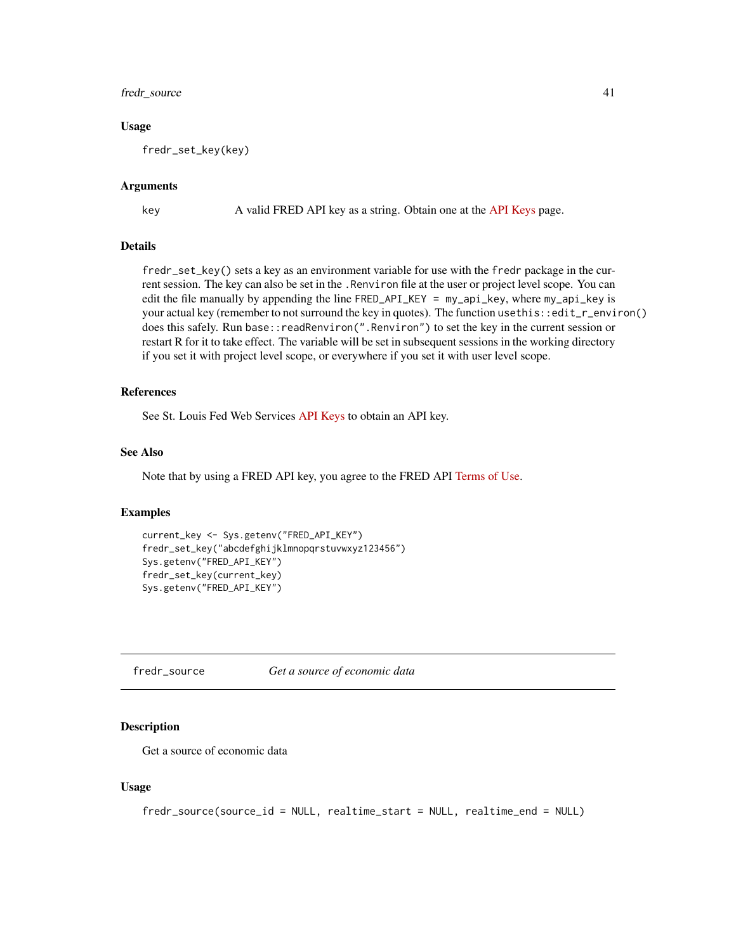## <span id="page-40-0"></span>fredr\_source 41

#### Usage

fredr\_set\_key(key)

#### Arguments

key A valid FRED API key as a string. Obtain one at the [API Keys](https://api.stlouisfed.org/api_key.html) page.

#### Details

fredr\_set\_key() sets a key as an environment variable for use with the fredr package in the current session. The key can also be set in the .Renviron file at the user or project level scope. You can edit the file manually by appending the line FRED\_API\_KEY = my\_api\_key, where my\_api\_key is your actual key (remember to not surround the key in quotes). The function use this::edit\_r\_environ() does this safely. Run base::readRenviron(".Renviron") to set the key in the current session or restart R for it to take effect. The variable will be set in subsequent sessions in the working directory if you set it with project level scope, or everywhere if you set it with user level scope.

#### References

See St. Louis Fed Web Services [API Keys](https://api.stlouisfed.org/api_key.html) to obtain an API key.

#### See Also

Note that by using a FRED API key, you agree to the FRED API [Terms of Use.](https://research.stlouisfed.org/docs/api/terms_of_use.html)

#### Examples

```
current_key <- Sys.getenv("FRED_API_KEY")
fredr_set_key("abcdefghijklmnopqrstuvwxyz123456")
Sys.getenv("FRED_API_KEY")
fredr_set_key(current_key)
Sys.getenv("FRED_API_KEY")
```
<span id="page-40-1"></span>fredr\_source *Get a source of economic data*

#### Description

Get a source of economic data

#### Usage

```
fredr_source(source_id = NULL, realtime_start = NULL, realtime_end = NULL)
```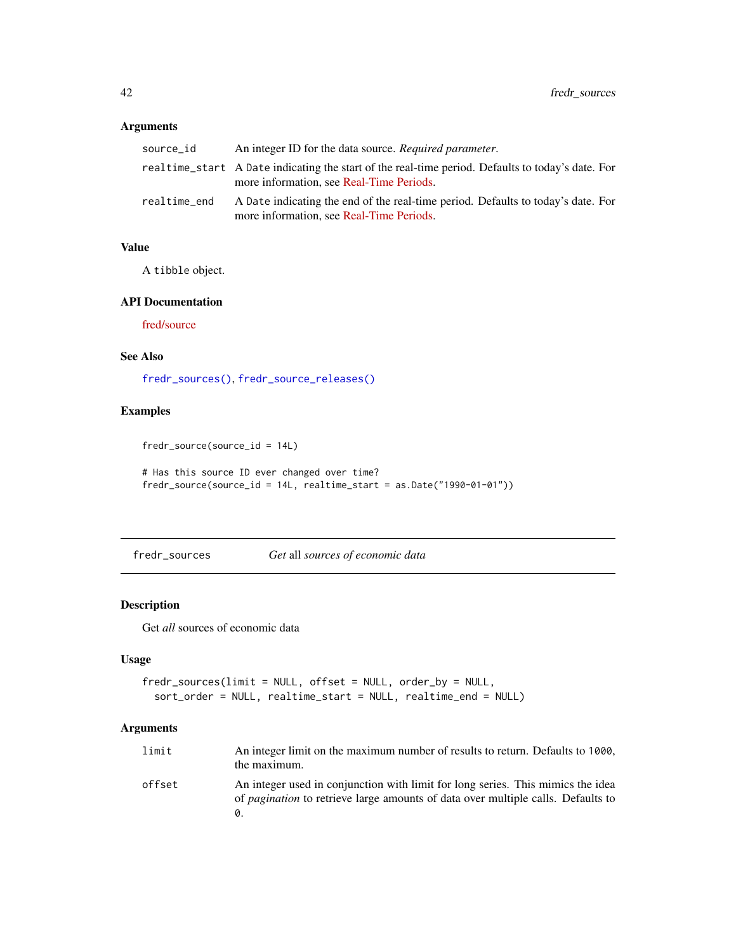## <span id="page-41-0"></span>Arguments

| source id    | An integer ID for the data source. Required parameter.                                                                                        |
|--------------|-----------------------------------------------------------------------------------------------------------------------------------------------|
|              | realtime_start A Date indicating the start of the real-time period. Defaults to today's date. For<br>more information, see Real-Time Periods. |
| realtime end | A Date indicating the end of the real-time period. Defaults to today's date. For<br>more information, see Real-Time Periods.                  |

## Value

A tibble object.

#### API Documentation

[fred/source](https://research.stlouisfed.org/docs/api/fred/source.html)

## See Also

[fredr\\_sources\(\)](#page-41-1), [fredr\\_source\\_releases\(\)](#page-42-1)

## Examples

fredr\_source(source\_id = 14L)

```
# Has this source ID ever changed over time?
fredr_source(source_id = 14L, realtime_start = as.Date("1990-01-01"))
```
<span id="page-41-1"></span>fredr\_sources *Get* all *sources of economic data*

## Description

Get *all* sources of economic data

## Usage

```
fredr_sources(limit = NULL, offset = NULL, order_by = NULL,
  sort_order = NULL, realtime_start = NULL, realtime_end = NULL)
```

| limit  | An integer limit on the maximum number of results to return. Defaults to 1000,<br>the maximum.                                                                             |
|--------|----------------------------------------------------------------------------------------------------------------------------------------------------------------------------|
| offset | An integer used in conjunction with limit for long series. This mimics the idea<br>of <i>pagination</i> to retrieve large amounts of data over multiple calls. Defaults to |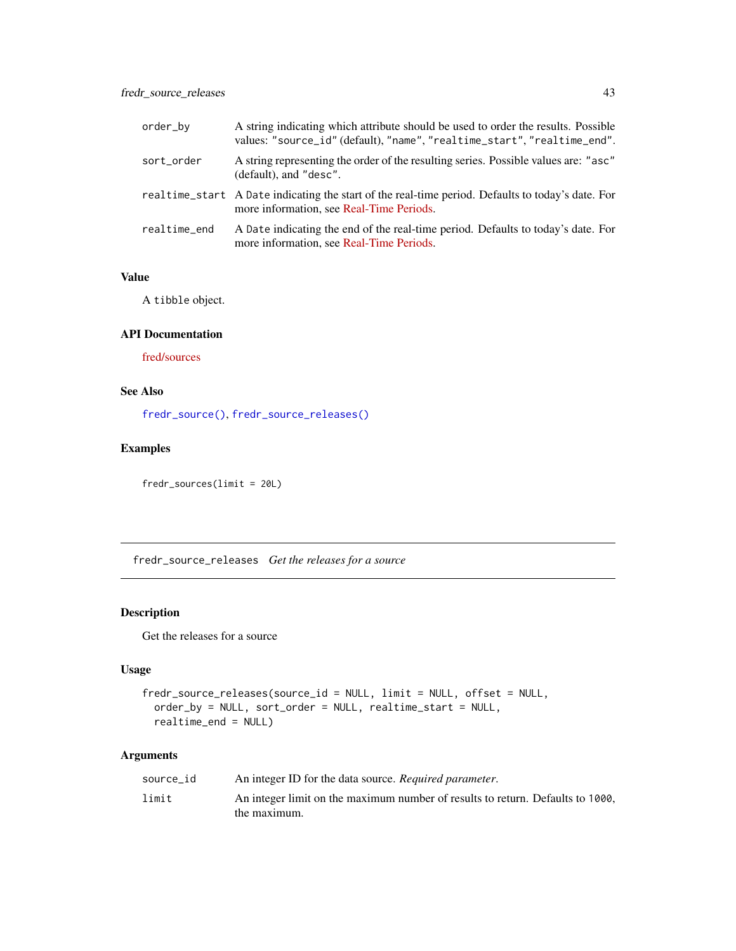<span id="page-42-0"></span>

| order_by     | A string indicating which attribute should be used to order the results. Possible<br>values: "source_id" (default), "name", "realtime_start", "realtime_end". |
|--------------|---------------------------------------------------------------------------------------------------------------------------------------------------------------|
| sort_order   | A string representing the order of the resulting series. Possible values are: "asc"<br>(default), and "desc".                                                 |
|              | realtime_start A Date indicating the start of the real-time period. Defaults to today's date. For<br>more information, see Real-Time Periods.                 |
| realtime_end | A Date indicating the end of the real-time period. Defaults to today's date. For<br>more information, see Real-Time Periods.                                  |

A tibble object.

## API Documentation

[fred/sources](https://research.stlouisfed.org/docs/api/fred/sources.html)

## See Also

[fredr\\_source\(\)](#page-40-1), [fredr\\_source\\_releases\(\)](#page-42-1)

## Examples

fredr\_sources(limit = 20L)

<span id="page-42-1"></span>fredr\_source\_releases *Get the releases for a source*

## Description

Get the releases for a source

#### Usage

```
fredr_source_releases(source_id = NULL, limit = NULL, offset = NULL,
 order_by = NULL, sort_order = NULL, realtime_start = NULL,
  realtime_end = NULL)
```

| An integer ID for the data source. Required parameter.                                         |
|------------------------------------------------------------------------------------------------|
| An integer limit on the maximum number of results to return. Defaults to 1000,<br>the maximum. |
|                                                                                                |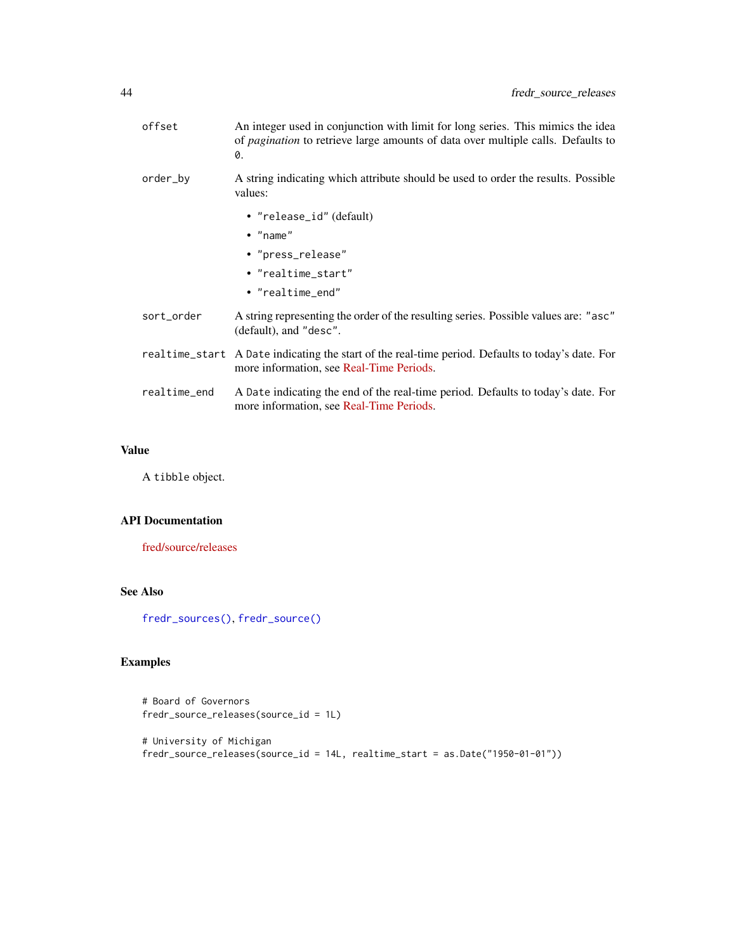<span id="page-43-0"></span>

| offset       | An integer used in conjunction with limit for long series. This mimics the idea<br>of <i>pagination</i> to retrieve large amounts of data over multiple calls. Defaults to<br>0. |
|--------------|----------------------------------------------------------------------------------------------------------------------------------------------------------------------------------|
| order_by     | A string indicating which attribute should be used to order the results. Possible<br>values:                                                                                     |
|              | • "release_id" (default)                                                                                                                                                         |
|              | $\bullet$ "name"                                                                                                                                                                 |
|              | • "press_release"                                                                                                                                                                |
|              | • "realtime start"                                                                                                                                                               |
|              | • "realtime end"                                                                                                                                                                 |
| sort_order   | A string representing the order of the resulting series. Possible values are: "asc"<br>(default), and "desc".                                                                    |
|              | realtime_start A Date indicating the start of the real-time period. Defaults to today's date. For<br>more information, see Real-Time Periods.                                    |
| realtime_end | A Date indicating the end of the real-time period. Defaults to today's date. For<br>more information, see Real-Time Periods.                                                     |
|              |                                                                                                                                                                                  |

A tibble object.

## API Documentation

[fred/source/releases](https://research.stlouisfed.org/docs/api/fred/source_releases.html)

## See Also

[fredr\\_sources\(\)](#page-41-1), [fredr\\_source\(\)](#page-40-1)

## Examples

```
# Board of Governors
fredr_source_releases(source_id = 1L)
# University of Michigan
fredr_source_releases(source_id = 14L, realtime_start = as.Date("1950-01-01"))
```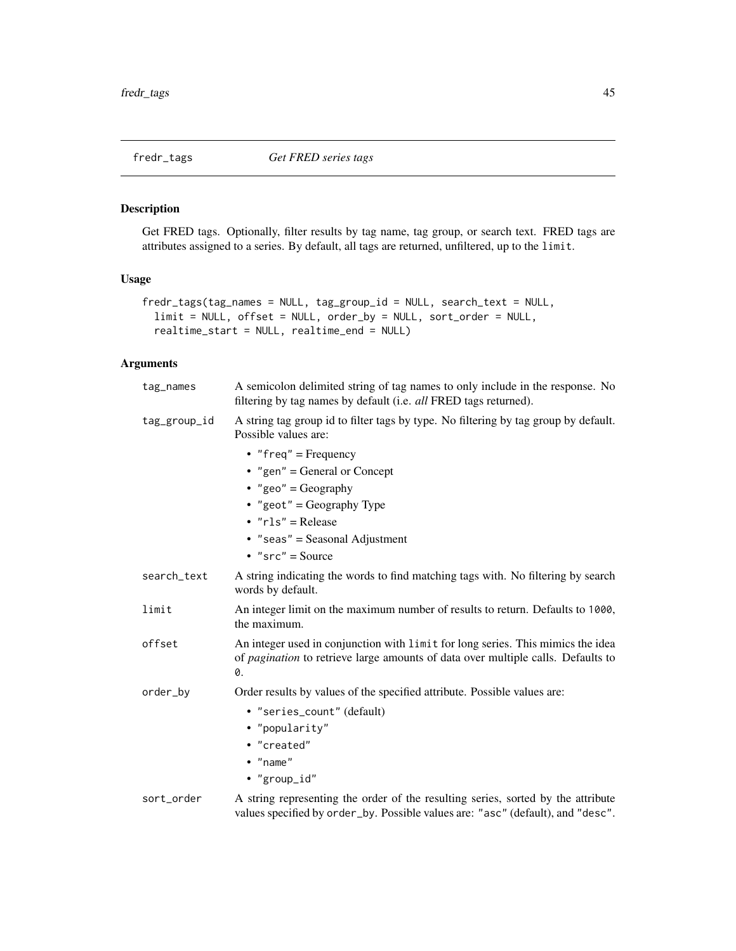<span id="page-44-1"></span><span id="page-44-0"></span>

## Description

Get FRED tags. Optionally, filter results by tag name, tag group, or search text. FRED tags are attributes assigned to a series. By default, all tags are returned, unfiltered, up to the limit.

## Usage

```
fredr_tags(tag_names = NULL, tag_group_id = NULL, search_text = NULL,
 limit = NULL, offset = NULL, order_by = NULL, sort_order = NULL,
  realtime_start = NULL, realtime_end = NULL)
```

| tag_names    | A semicolon delimited string of tag names to only include in the response. No<br>filtering by tag names by default (i.e. <i>all</i> FRED tags returned).                                                |
|--------------|---------------------------------------------------------------------------------------------------------------------------------------------------------------------------------------------------------|
| tag_group_id | A string tag group id to filter tags by type. No filtering by tag group by default.<br>Possible values are:                                                                                             |
|              | • "freq" = Frequency<br>• "gen" = General or Concept<br>• "geo" = Geography<br>• "geot" = Geography Type<br>$\cdot$ " $rls$ " = Release<br>$\bullet$ "seas" = Seasonal Adjustment<br>• $"src" = Source$ |
| search_text  | A string indicating the words to find matching tags with. No filtering by search<br>words by default.                                                                                                   |
| limit        | An integer limit on the maximum number of results to return. Defaults to 1000,<br>the maximum.                                                                                                          |
| offset       | An integer used in conjunction with limit for long series. This mimics the idea<br>of pagination to retrieve large amounts of data over multiple calls. Defaults to<br>0.                               |
| order_by     | Order results by values of the specified attribute. Possible values are:                                                                                                                                |
|              | • "series_count" (default)<br>• "popularity"<br>• "created"<br>$\bullet$ "name"<br>• "group_id"                                                                                                         |
| sort_order   | A string representing the order of the resulting series, sorted by the attribute<br>values specified by order_by. Possible values are: "asc" (default), and "desc".                                     |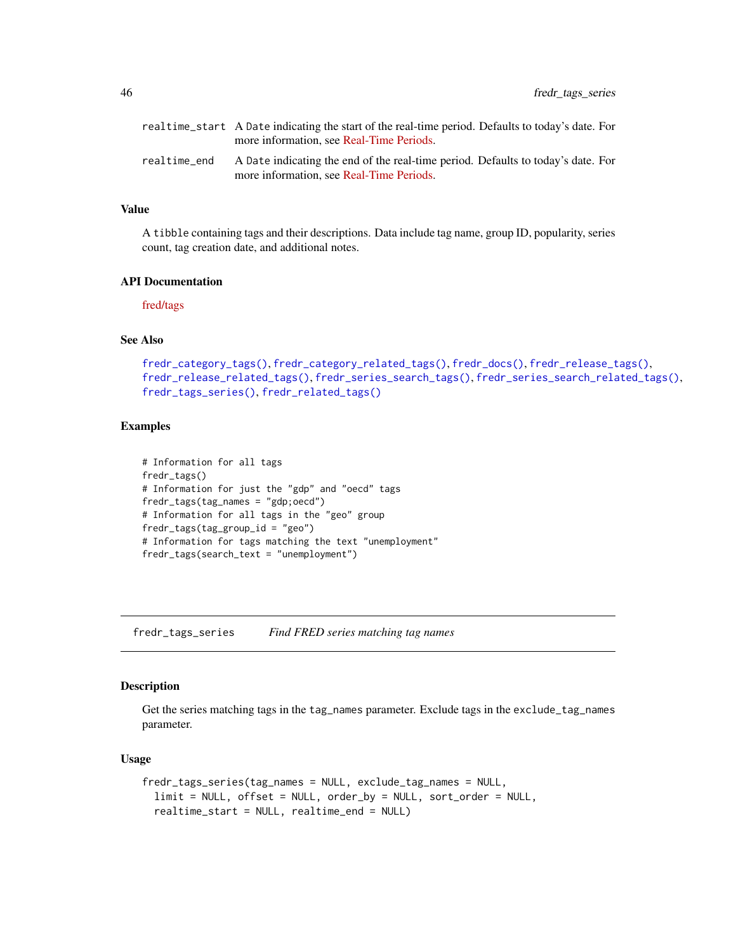<span id="page-45-0"></span>

|              | realtime_start A Date indicating the start of the real-time period. Defaults to today's date. For<br>more information, see Real-Time Periods. |
|--------------|-----------------------------------------------------------------------------------------------------------------------------------------------|
| realtime end | A Date indicating the end of the real-time period. Defaults to today's date. For<br>more information, see Real-Time Periods.                  |

A tibble containing tags and their descriptions. Data include tag name, group ID, popularity, series count, tag creation date, and additional notes.

#### API Documentation

[fred/tags](https://research.stlouisfed.org/docs/api/fred/tags.html)

## See Also

```
fredr_category_tags(), fredr_category_related_tags(), fredr_docs(), fredr_release_tags(),
fredr_release_related_tags(), fredr_series_search_tags(), fredr_series_search_related_tags(),
fredr_tags_series(), fredr_related_tags()
```
#### Examples

```
# Information for all tags
fredr_tags()
# Information for just the "gdp" and "oecd" tags
fredr_tags(tag_names = "gdp;oecd")
# Information for all tags in the "geo" group
fredr_tags(tag_group_id = "geo")
# Information for tags matching the text "unemployment"
fredr_tags(search_text = "unemployment")
```
<span id="page-45-1"></span>fredr\_tags\_series *Find FRED series matching tag names*

## Description

Get the series matching tags in the tag\_names parameter. Exclude tags in the exclude\_tag\_names parameter.

## Usage

```
fredr_tags_series(tag_names = NULL, exclude_tag_names = NULL,
 limit = NULL, offset = NULL, order_by = NULL, sort_order = NULL,
  realtime_start = NULL, realtime_end = NULL)
```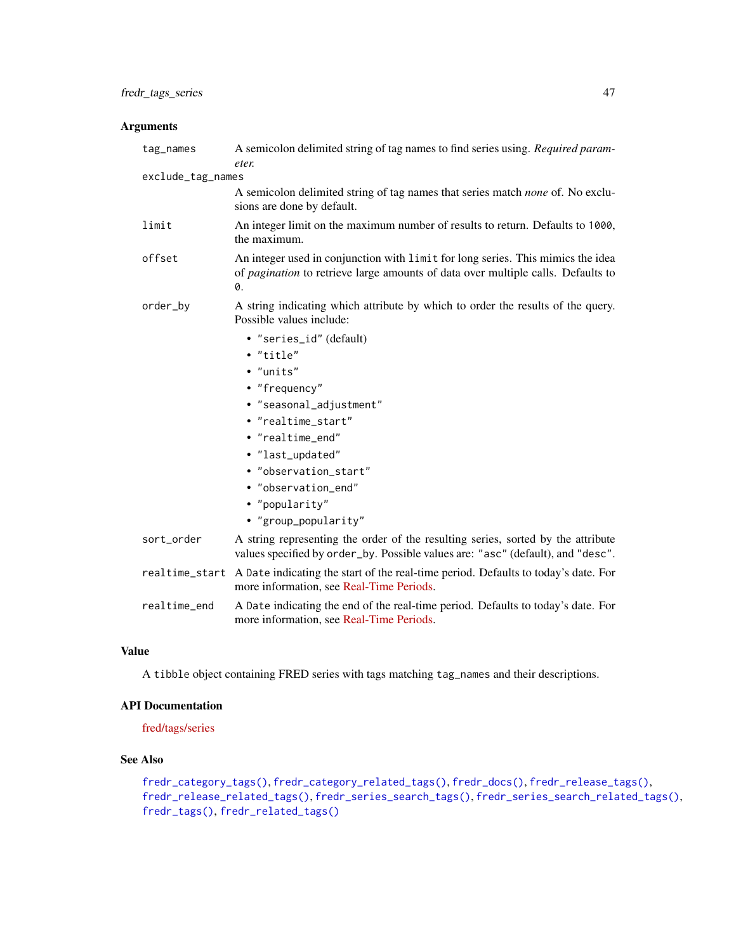## <span id="page-46-0"></span>Arguments

| tag_names         | A semicolon delimited string of tag names to find series using. Required param-<br>eter.                                                                                  |
|-------------------|---------------------------------------------------------------------------------------------------------------------------------------------------------------------------|
| exclude_tag_names |                                                                                                                                                                           |
|                   | A semicolon delimited string of tag names that series match <i>none</i> of. No exclu-<br>sions are done by default.                                                       |
| limit             | An integer limit on the maximum number of results to return. Defaults to 1000,<br>the maximum.                                                                            |
| offset            | An integer used in conjunction with limit for long series. This mimics the idea<br>of pagination to retrieve large amounts of data over multiple calls. Defaults to<br>0. |
| order_by          | A string indicating which attribute by which to order the results of the query.<br>Possible values include:                                                               |
|                   | • "series_id" (default)                                                                                                                                                   |
|                   | • "title"                                                                                                                                                                 |
|                   | • "units"                                                                                                                                                                 |
|                   | • "frequency"                                                                                                                                                             |
|                   | · "seasonal_adjustment"                                                                                                                                                   |
|                   | • "realtime_start"                                                                                                                                                        |
|                   | • "realtime_end"                                                                                                                                                          |
|                   | · "last_updated"                                                                                                                                                          |
|                   | · "observation_start"                                                                                                                                                     |
|                   | • "observation_end"                                                                                                                                                       |
|                   | • "popularity"                                                                                                                                                            |
|                   | • "group_popularity"                                                                                                                                                      |
| sort_order        | A string representing the order of the resulting series, sorted by the attribute<br>values specified by order_by. Possible values are: "asc" (default), and "desc".       |
|                   | realtime_start A Date indicating the start of the real-time period. Defaults to today's date. For<br>more information, see Real-Time Periods.                             |
| realtime_end      | A Date indicating the end of the real-time period. Defaults to today's date. For<br>more information, see Real-Time Periods.                                              |

## Value

A tibble object containing FRED series with tags matching tag\_names and their descriptions.

## API Documentation

[fred/tags/series](https://research.stlouisfed.org/docs/api/fred/tags_series.html)

## See Also

[fredr\\_category\\_tags\(\)](#page-7-1), [fredr\\_category\\_related\\_tags\(\)](#page-4-1), [fredr\\_docs\(\)](#page-9-1), [fredr\\_release\\_tags\(\)](#page-21-1), [fredr\\_release\\_related\\_tags\(\)](#page-16-1), [fredr\\_series\\_search\\_tags\(\)](#page-32-1), [fredr\\_series\\_search\\_related\\_tags\(\)](#page-30-1), [fredr\\_tags\(\)](#page-44-1), [fredr\\_related\\_tags\(\)](#page-10-2)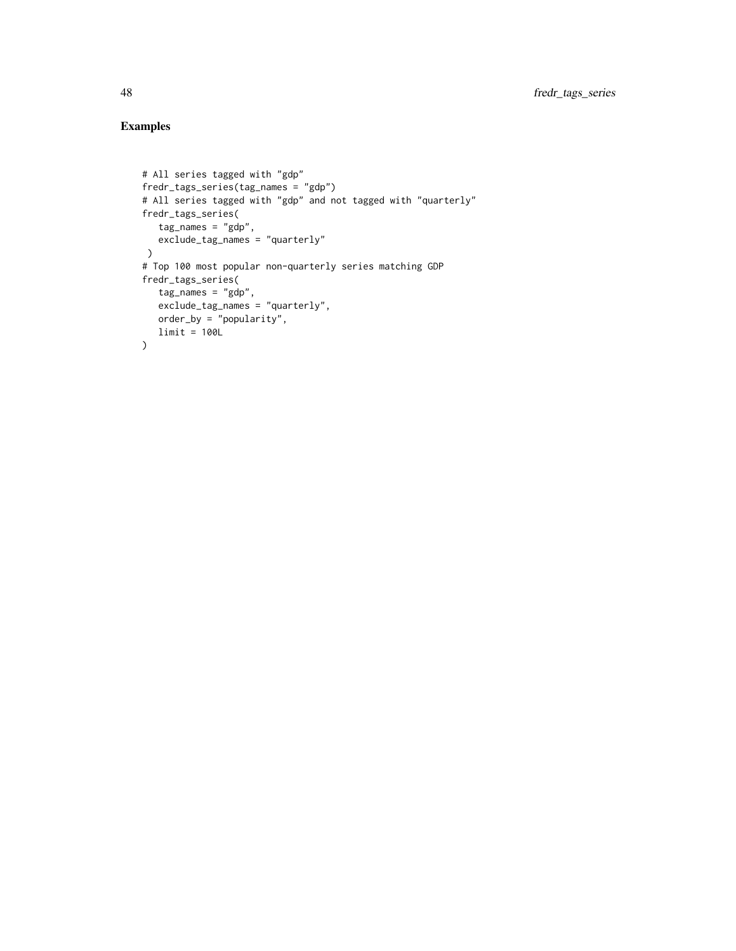## Examples

```
# All series tagged with "gdp"
fredr_tags_series(tag_names = "gdp")
# All series tagged with "gdp" and not tagged with "quarterly"
fredr_tags_series(
  tag_names = "gdp",
   exclude_tag_names = "quarterly"
)
# Top 100 most popular non-quarterly series matching GDP
fredr_tags_series(
  tag_names = "gdp",
   exclude_tag_names = "quarterly",
  order_by = "popularity",
  limit = 100L
)
```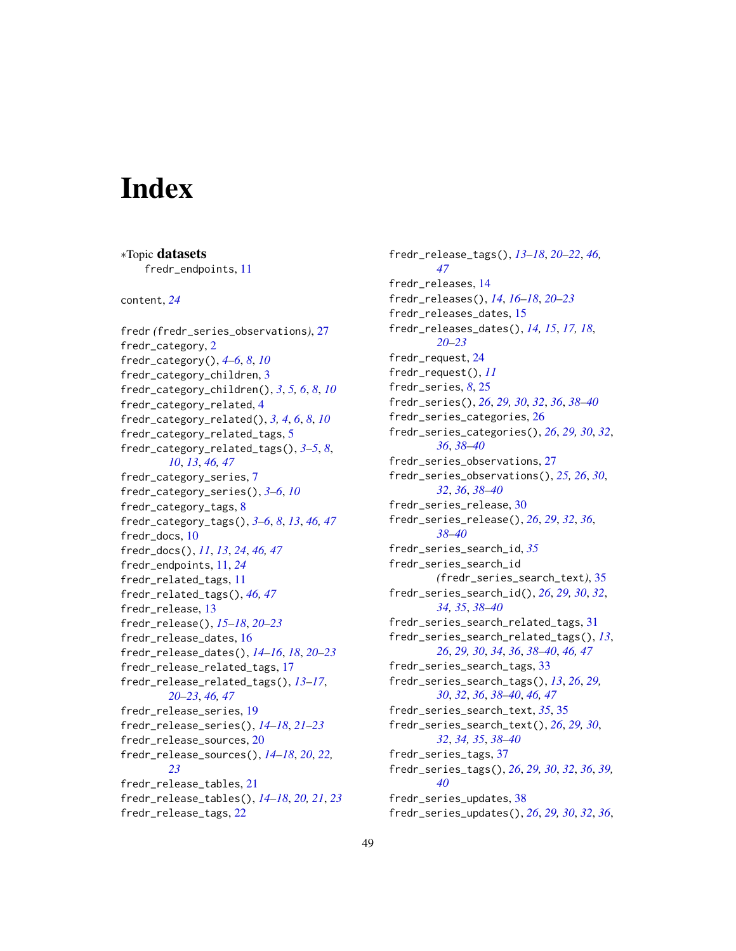# <span id="page-48-0"></span>**Index**

∗Topic datasets

fredr\_endpoints, [11](#page-10-0) content, *[24](#page-23-0)* fredr *(*fredr\_series\_observations*)*, [27](#page-26-0) fredr\_category, [2](#page-1-0) fredr\_category(), *[4](#page-3-0)[–6](#page-5-0)*, *[8](#page-7-0)*, *[10](#page-9-0)* fredr\_category\_children, [3](#page-2-0) fredr\_category\_children(), *[3](#page-2-0)*, *[5,](#page-4-0) [6](#page-5-0)*, *[8](#page-7-0)*, *[10](#page-9-0)* fredr\_category\_related, [4](#page-3-0) fredr\_category\_related(), *[3,](#page-2-0) [4](#page-3-0)*, *[6](#page-5-0)*, *[8](#page-7-0)*, *[10](#page-9-0)* fredr\_category\_related\_tags, [5](#page-4-0) fredr\_category\_related\_tags(), *[3–](#page-2-0)[5](#page-4-0)*, *[8](#page-7-0)*, *[10](#page-9-0)*, *[13](#page-12-0)*, *[46,](#page-45-0) [47](#page-46-0)* fredr\_category\_series, [7](#page-6-0) fredr\_category\_series(), *[3–](#page-2-0)[6](#page-5-0)*, *[10](#page-9-0)* fredr\_category\_tags, [8](#page-7-0) fredr\_category\_tags(), *[3–](#page-2-0)[6](#page-5-0)*, *[8](#page-7-0)*, *[13](#page-12-0)*, *[46,](#page-45-0) [47](#page-46-0)* fredr\_docs, [10](#page-9-0) fredr\_docs(), *[11](#page-10-0)*, *[13](#page-12-0)*, *[24](#page-23-0)*, *[46,](#page-45-0) [47](#page-46-0)* fredr\_endpoints, [11,](#page-10-0) *[24](#page-23-0)* fredr\_related\_tags, [11](#page-10-0) fredr\_related\_tags(), *[46,](#page-45-0) [47](#page-46-0)* fredr\_release, [13](#page-12-0) fredr\_release(), *[15](#page-14-0)[–18](#page-17-0)*, *[20–](#page-19-0)[23](#page-22-0)* fredr\_release\_dates, [16](#page-15-0) fredr\_release\_dates(), *[14–](#page-13-0)[16](#page-15-0)*, *[18](#page-17-0)*, *[20–](#page-19-0)[23](#page-22-0)* fredr\_release\_related\_tags, [17](#page-16-0) fredr\_release\_related\_tags(), *[13–](#page-12-0)[17](#page-16-0)*, *[20](#page-19-0)[–23](#page-22-0)*, *[46,](#page-45-0) [47](#page-46-0)* fredr\_release\_series, [19](#page-18-0) fredr\_release\_series(), *[14–](#page-13-0)[18](#page-17-0)*, *[21–](#page-20-0)[23](#page-22-0)* fredr\_release\_sources, [20](#page-19-0) fredr\_release\_sources(), *[14–](#page-13-0)[18](#page-17-0)*, *[20](#page-19-0)*, *[22,](#page-21-0) [23](#page-22-0)* fredr\_release\_tables, [21](#page-20-0) fredr\_release\_tables(), *[14–](#page-13-0)[18](#page-17-0)*, *[20,](#page-19-0) [21](#page-20-0)*, *[23](#page-22-0)* fredr\_release\_tags, [22](#page-21-0)

fredr\_release\_tags(), *[13](#page-12-0)[–18](#page-17-0)*, *[20](#page-19-0)[–22](#page-21-0)*, *[46,](#page-45-0) [47](#page-46-0)* fredr\_releases, [14](#page-13-0) fredr\_releases(), *[14](#page-13-0)*, *[16](#page-15-0)[–18](#page-17-0)*, *[20](#page-19-0)[–23](#page-22-0)* fredr\_releases\_dates, [15](#page-14-0) fredr\_releases\_dates(), *[14,](#page-13-0) [15](#page-14-0)*, *[17,](#page-16-0) [18](#page-17-0)*, *[20](#page-19-0)[–23](#page-22-0)* fredr\_request, [24](#page-23-0) fredr\_request(), *[11](#page-10-0)* fredr\_series, *[8](#page-7-0)*, [25](#page-24-0) fredr\_series(), *[26](#page-25-0)*, *[29,](#page-28-0) [30](#page-29-0)*, *[32](#page-31-0)*, *[36](#page-35-0)*, *[38](#page-37-0)[–40](#page-39-0)* fredr\_series\_categories, [26](#page-25-0) fredr\_series\_categories(), *[26](#page-25-0)*, *[29,](#page-28-0) [30](#page-29-0)*, *[32](#page-31-0)*, *[36](#page-35-0)*, *[38](#page-37-0)[–40](#page-39-0)* fredr\_series\_observations, [27](#page-26-0) fredr\_series\_observations(), *[25,](#page-24-0) [26](#page-25-0)*, *[30](#page-29-0)*, *[32](#page-31-0)*, *[36](#page-35-0)*, *[38](#page-37-0)[–40](#page-39-0)* fredr\_series\_release, [30](#page-29-0) fredr\_series\_release(), *[26](#page-25-0)*, *[29](#page-28-0)*, *[32](#page-31-0)*, *[36](#page-35-0)*, *[38](#page-37-0)[–40](#page-39-0)* fredr\_series\_search\_id, *[35](#page-34-0)* fredr\_series\_search\_id *(*fredr\_series\_search\_text*)*, [35](#page-34-0) fredr\_series\_search\_id(), *[26](#page-25-0)*, *[29,](#page-28-0) [30](#page-29-0)*, *[32](#page-31-0)*, *[34,](#page-33-0) [35](#page-34-0)*, *[38](#page-37-0)[–40](#page-39-0)* fredr\_series\_search\_related\_tags, [31](#page-30-0) fredr\_series\_search\_related\_tags(), *[13](#page-12-0)*, *[26](#page-25-0)*, *[29,](#page-28-0) [30](#page-29-0)*, *[34](#page-33-0)*, *[36](#page-35-0)*, *[38](#page-37-0)[–40](#page-39-0)*, *[46,](#page-45-0) [47](#page-46-0)* fredr\_series\_search\_tags, [33](#page-32-0) fredr\_series\_search\_tags(), *[13](#page-12-0)*, *[26](#page-25-0)*, *[29,](#page-28-0) [30](#page-29-0)*, *[32](#page-31-0)*, *[36](#page-35-0)*, *[38](#page-37-0)[–40](#page-39-0)*, *[46,](#page-45-0) [47](#page-46-0)* fredr\_series\_search\_text, *[35](#page-34-0)*, [35](#page-34-0) fredr\_series\_search\_text(), *[26](#page-25-0)*, *[29,](#page-28-0) [30](#page-29-0)*, *[32](#page-31-0)*, *[34,](#page-33-0) [35](#page-34-0)*, *[38](#page-37-0)[–40](#page-39-0)* fredr\_series\_tags, [37](#page-36-0) fredr\_series\_tags(), *[26](#page-25-0)*, *[29,](#page-28-0) [30](#page-29-0)*, *[32](#page-31-0)*, *[36](#page-35-0)*, *[39,](#page-38-0) [40](#page-39-0)* fredr\_series\_updates, [38](#page-37-0) fredr\_series\_updates(), *[26](#page-25-0)*, *[29,](#page-28-0) [30](#page-29-0)*, *[32](#page-31-0)*, *[36](#page-35-0)*,